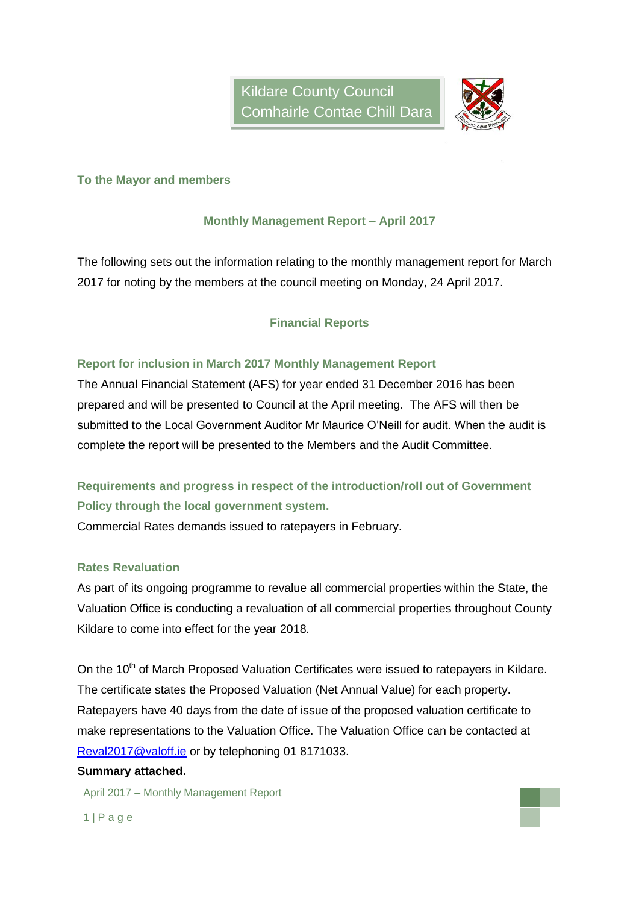

### **To the Mayor and members**

### **Monthly Management Report – April 2017**

The following sets out the information relating to the monthly management report for March 2017 for noting by the members at the council meeting on Monday, 24 April 2017.

## **Financial Reports**

### **Report for inclusion in March 2017 Monthly Management Report**

The Annual Financial Statement (AFS) for year ended 31 December 2016 has been prepared and will be presented to Council at the April meeting. The AFS will then be submitted to the Local Government Auditor Mr Maurice O'Neill for audit. When the audit is complete the report will be presented to the Members and the Audit Committee.

# **Requirements and progress in respect of the introduction/roll out of Government Policy through the local government system.**

Commercial Rates demands issued to ratepayers in February.

### **Rates Revaluation**

As part of its ongoing programme to revalue all commercial properties within the State, the Valuation Office is conducting a revaluation of all commercial properties throughout County Kildare to come into effect for the year 2018.

On the 10<sup>th</sup> of March Proposed Valuation Certificates were issued to ratepayers in Kildare. The certificate states the Proposed Valuation (Net Annual Value) for each property. Ratepayers have 40 days from the date of issue of the proposed valuation certificate to make representations to the Valuation Office. The Valuation Office can be contacted at [Reval2017@valoff.ie](mailto:Reval2017@valoff.ie) or by telephoning 01 8171033.

#### **Summary attached.**

April 2017 – Monthly Management Report

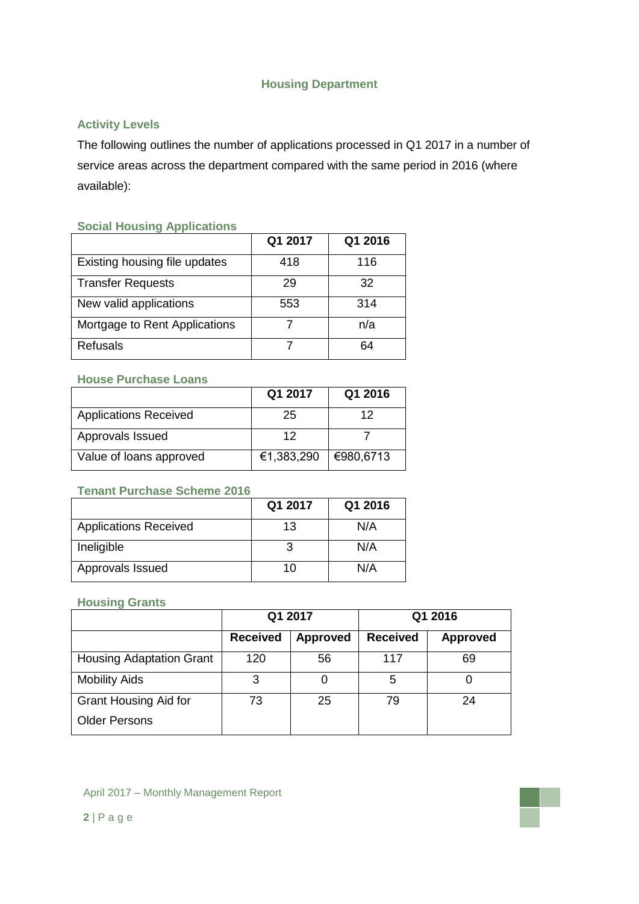## **Housing Department**

# **Activity Levels**

The following outlines the number of applications processed in Q1 2017 in a number of service areas across the department compared with the same period in 2016 (where available):

### **Social Housing Applications**

|                               | Q1 2017 | Q1 2016 |
|-------------------------------|---------|---------|
| Existing housing file updates | 418     | 116     |
| <b>Transfer Requests</b>      | 29      | 32      |
| New valid applications        | 553     | 314     |
| Mortgage to Rent Applications |         | n/a     |
| <b>Refusals</b>               |         | 64      |

### **House Purchase Loans**

|                              | Q1 2017    | Q1 2016   |
|------------------------------|------------|-----------|
| <b>Applications Received</b> | 25         | 12        |
| Approvals Issued             | 12         |           |
| Value of loans approved      | €1,383,290 | €980,6713 |

## **Tenant Purchase Scheme 2016**

|                              | Q1 2017 | Q1 2016 |
|------------------------------|---------|---------|
| <b>Applications Received</b> | 13      | N/A     |
| Ineligible                   |         | N/A     |
| Approvals Issued             | 10      | N/A     |

#### **Housing Grants**

|                                 | Q1 2017         |                 | Q1 2016         |                 |
|---------------------------------|-----------------|-----------------|-----------------|-----------------|
|                                 | <b>Received</b> | <b>Approved</b> | <b>Received</b> | <b>Approved</b> |
| <b>Housing Adaptation Grant</b> | 120             | 56              | 117             | 69              |
| <b>Mobility Aids</b>            | 3               | $\Omega$        | 5               |                 |
| <b>Grant Housing Aid for</b>    | 73              | 25              | 79              | 24              |
| <b>Older Persons</b>            |                 |                 |                 |                 |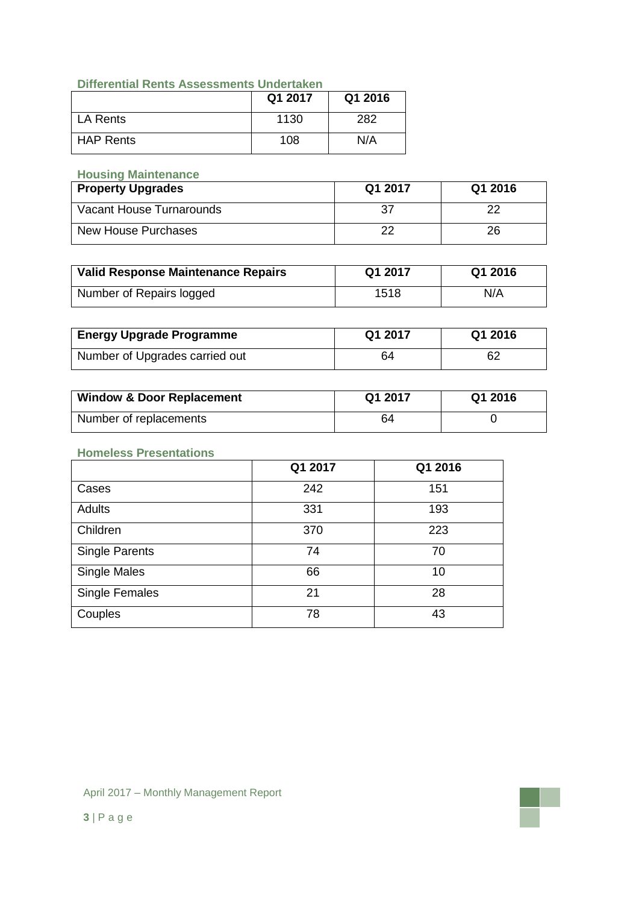## **Differential Rents Assessments Undertaken**

|                  | Q1 2017 | Q1 2016 |
|------------------|---------|---------|
| LA Rents         | 1130    | 282     |
| <b>HAP Rents</b> | 108     | N/A     |

## **Housing Maintenance**

| <b>Property Upgrades</b> | Q1 2017 | Q1 2016 |
|--------------------------|---------|---------|
| Vacant House Turnarounds |         | つつ      |
| New House Purchases      |         | 26      |

| <b>Valid Response Maintenance Repairs</b> | Q1 2017 | Q1 2016 |
|-------------------------------------------|---------|---------|
| Number of Repairs logged                  | 1518    | N/A     |

| <b>Energy Upgrade Programme</b> | Q1 2017 | Q1 2016 |
|---------------------------------|---------|---------|
| Number of Upgrades carried out  | 64      | 62      |

| <b>Window &amp; Door Replacement</b> | Q1 2017 | Q1 2016 |
|--------------------------------------|---------|---------|
| Number of replacements               | 64      |         |

### **Homeless Presentations**

|                       | Q1 2017 | Q1 2016 |
|-----------------------|---------|---------|
| Cases                 | 242     | 151     |
| <b>Adults</b>         | 331     | 193     |
| Children              | 370     | 223     |
| Single Parents        | 74      | 70      |
| Single Males          | 66      | 10      |
| <b>Single Females</b> | 21      | 28      |
| Couples               | 78      | 43      |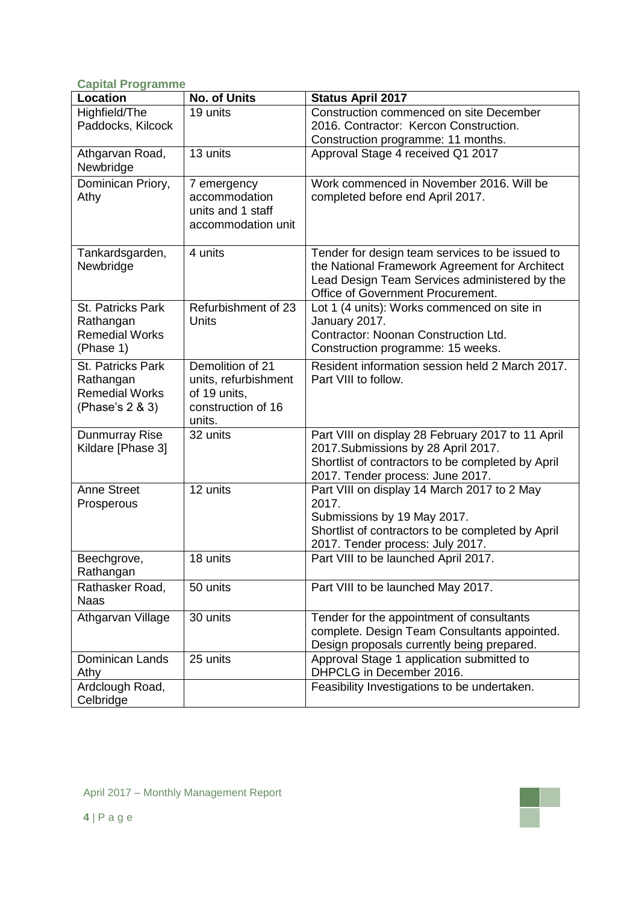### **Capital Programme**

| <b>Location</b>                                                            | No. of Units                                                                             | <b>Status April 2017</b>                                                                                                                                                                |
|----------------------------------------------------------------------------|------------------------------------------------------------------------------------------|-----------------------------------------------------------------------------------------------------------------------------------------------------------------------------------------|
| Highfield/The                                                              | 19 units                                                                                 | Construction commenced on site December                                                                                                                                                 |
| Paddocks, Kilcock                                                          |                                                                                          | 2016. Contractor: Kercon Construction.                                                                                                                                                  |
|                                                                            |                                                                                          | Construction programme: 11 months.                                                                                                                                                      |
| Athgarvan Road,<br>Newbridge                                               | 13 units                                                                                 | Approval Stage 4 received Q1 2017                                                                                                                                                       |
| Dominican Priory,<br>Athy                                                  | 7 emergency<br>accommodation<br>units and 1 staff<br>accommodation unit                  | Work commenced in November 2016. Will be<br>completed before end April 2017.                                                                                                            |
| Tankardsgarden,<br>Newbridge                                               | 4 units                                                                                  | Tender for design team services to be issued to<br>the National Framework Agreement for Architect<br>Lead Design Team Services administered by the<br>Office of Government Procurement. |
| St. Patricks Park<br>Rathangan<br><b>Remedial Works</b><br>(Phase 1)       | Refurbishment of 23<br>Units                                                             | Lot 1 (4 units): Works commenced on site in<br>January 2017.<br>Contractor: Noonan Construction Ltd.<br>Construction programme: 15 weeks.                                               |
| St. Patricks Park<br>Rathangan<br><b>Remedial Works</b><br>(Phase's 2 & 3) | Demolition of 21<br>units, refurbishment<br>of 19 units,<br>construction of 16<br>units. | Resident information session held 2 March 2017.<br>Part VIII to follow.                                                                                                                 |
| Dunmurray Rise<br>Kildare [Phase 3]                                        | 32 units                                                                                 | Part VIII on display 28 February 2017 to 11 April<br>2017. Submissions by 28 April 2017.<br>Shortlist of contractors to be completed by April<br>2017. Tender process: June 2017.       |
| Anne Street<br>Prosperous                                                  | 12 units                                                                                 | Part VIII on display 14 March 2017 to 2 May<br>2017.<br>Submissions by 19 May 2017.<br>Shortlist of contractors to be completed by April<br>2017. Tender process: July 2017.            |
| Beechgrove,<br>Rathangan                                                   | 18 units                                                                                 | Part VIII to be launched April 2017.                                                                                                                                                    |
| Rathasker Road,<br><b>Naas</b>                                             | 50 units                                                                                 | Part VIII to be launched May 2017.                                                                                                                                                      |
| Athgarvan Village                                                          | 30 units                                                                                 | Tender for the appointment of consultants<br>complete. Design Team Consultants appointed.<br>Design proposals currently being prepared.                                                 |
| <b>Dominican Lands</b><br>Athy                                             | 25 units                                                                                 | Approval Stage 1 application submitted to<br>DHPCLG in December 2016.                                                                                                                   |
| Ardclough Road,<br>Celbridge                                               |                                                                                          | Feasibility Investigations to be undertaken.                                                                                                                                            |

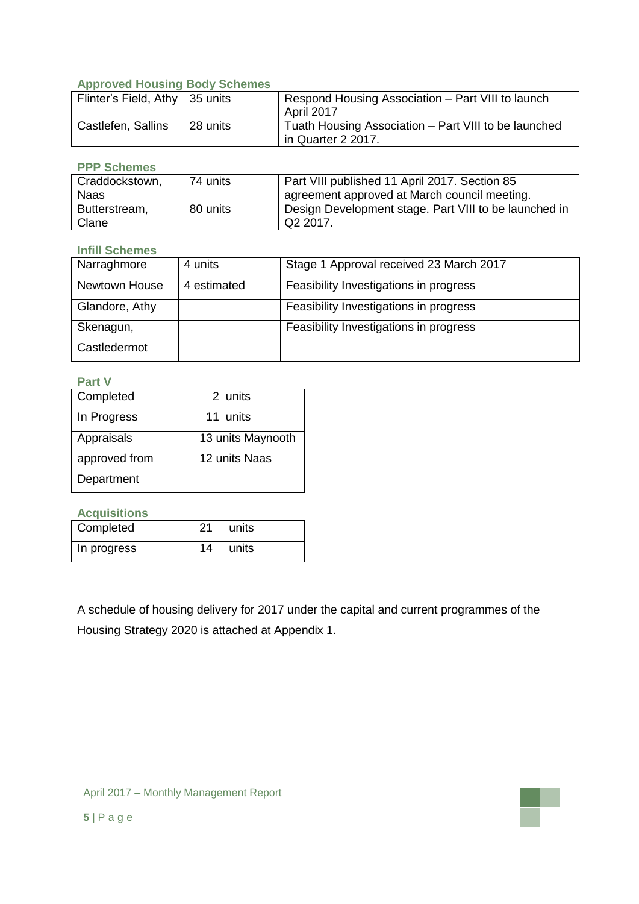## **Approved Housing Body Schemes**

| Flinter's Field, Athy   35 units |          | Respond Housing Association – Part VIII to launch<br>April 2017            |
|----------------------------------|----------|----------------------------------------------------------------------------|
| Castlefen, Sallins               | 28 units | Tuath Housing Association – Part VIII to be launched<br>in Quarter 2 2017. |

### **PPP Schemes**

| Craddockstown, | 74 units | Part VIII published 11 April 2017. Section 85         |
|----------------|----------|-------------------------------------------------------|
| <b>Naas</b>    |          | agreement approved at March council meeting.          |
| Butterstream,  | 80 units | Design Development stage. Part VIII to be launched in |
| Clane          |          | Q <sub>2</sub> 2017.                                  |

### **Infill Schemes**

| Narraghmore    | 4 units     | Stage 1 Approval received 23 March 2017 |
|----------------|-------------|-----------------------------------------|
| Newtown House  | 4 estimated | Feasibility Investigations in progress  |
| Glandore, Athy |             | Feasibility Investigations in progress  |
| Skenagun,      |             | Feasibility Investigations in progress  |
| Castledermot   |             |                                         |

### **Part V**

| Completed     | 2 units           |
|---------------|-------------------|
| In Progress   | 11 units          |
| Appraisals    | 13 units Maynooth |
| approved from | 12 units Naas     |
| Department    |                   |

**Acquisitions**

| Completed   | 21 | units |
|-------------|----|-------|
| In progress | 14 | units |

A schedule of housing delivery for 2017 under the capital and current programmes of the Housing Strategy 2020 is attached at Appendix 1.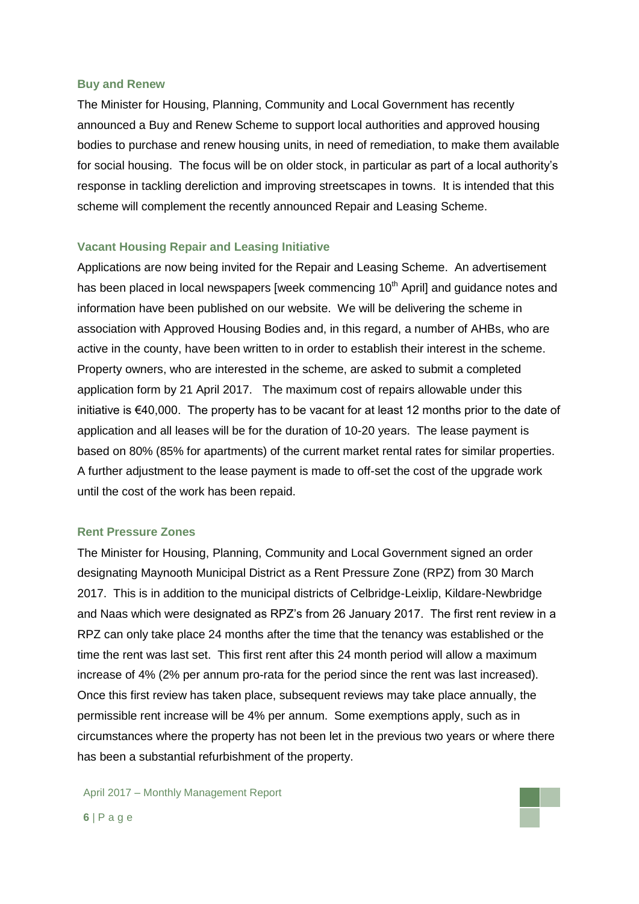#### **Buy and Renew**

The Minister for Housing, Planning, Community and Local Government has recently announced a Buy and Renew Scheme to support local authorities and approved housing bodies to purchase and renew housing units, in need of remediation, to make them available for social housing. The focus will be on older stock, in particular as part of a local authority's response in tackling dereliction and improving streetscapes in towns. It is intended that this scheme will complement the recently announced Repair and Leasing Scheme.

#### **Vacant Housing Repair and Leasing Initiative**

Applications are now being invited for the Repair and Leasing Scheme. An advertisement has been placed in local newspapers [week commencing 10<sup>th</sup> April] and guidance notes and information have been published on our website. We will be delivering the scheme in association with Approved Housing Bodies and, in this regard, a number of AHBs, who are active in the county, have been written to in order to establish their interest in the scheme. Property owners, who are interested in the scheme, are asked to submit a completed application form by 21 April 2017. The maximum cost of repairs allowable under this initiative is €40,000. The property has to be vacant for at least 12 months prior to the date of application and all leases will be for the duration of 10-20 years. The lease payment is based on 80% (85% for apartments) of the current market rental rates for similar properties. A further adjustment to the lease payment is made to off-set the cost of the upgrade work until the cost of the work has been repaid.

#### **Rent Pressure Zones**

The Minister for Housing, Planning, Community and Local Government signed an order designating Maynooth Municipal District as a Rent Pressure Zone (RPZ) from 30 March 2017. This is in addition to the municipal districts of Celbridge-Leixlip, Kildare-Newbridge and Naas which were designated as RPZ's from 26 January 2017. The first rent review in a RPZ can only take place 24 months after the time that the tenancy was established or the time the rent was last set. This first rent after this 24 month period will allow a maximum increase of 4% (2% per annum pro-rata for the period since the rent was last increased). Once this first review has taken place, subsequent reviews may take place annually, the permissible rent increase will be 4% per annum. Some exemptions apply, such as in circumstances where the property has not been let in the previous two years or where there has been a substantial refurbishment of the property.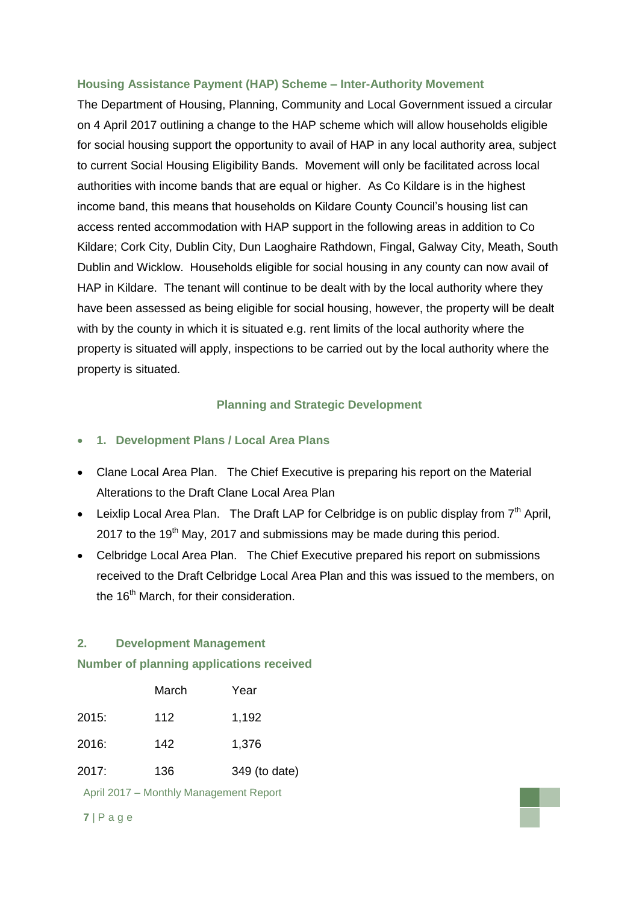### **Housing Assistance Payment (HAP) Scheme – Inter-Authority Movement**

The Department of Housing, Planning, Community and Local Government issued a circular on 4 April 2017 outlining a change to the HAP scheme which will allow households eligible for social housing support the opportunity to avail of HAP in any local authority area, subject to current Social Housing Eligibility Bands. Movement will only be facilitated across local authorities with income bands that are equal or higher. As Co Kildare is in the highest income band, this means that households on Kildare County Council's housing list can access rented accommodation with HAP support in the following areas in addition to Co Kildare; Cork City, Dublin City, Dun Laoghaire Rathdown, Fingal, Galway City, Meath, South Dublin and Wicklow. Households eligible for social housing in any county can now avail of HAP in Kildare. The tenant will continue to be dealt with by the local authority where they have been assessed as being eligible for social housing, however, the property will be dealt with by the county in which it is situated e.g. rent limits of the local authority where the property is situated will apply, inspections to be carried out by the local authority where the property is situated.

## **Planning and Strategic Development**

- **1. Development Plans / Local Area Plans**
- Clane Local Area Plan. The Chief Executive is preparing his report on the Material Alterations to the Draft Clane Local Area Plan
- **•** Leixlip Local Area Plan. The Draft LAP for Celbridge is on public display from  $7<sup>th</sup>$  April, 2017 to the 19<sup>th</sup> May, 2017 and submissions may be made during this period.
- Celbridge Local Area Plan. The Chief Executive prepared his report on submissions received to the Draft Celbridge Local Area Plan and this was issued to the members, on the 16<sup>th</sup> March, for their consideration.

### **2. Development Management**

### **Number of planning applications received**

|       | March | Year          |
|-------|-------|---------------|
| 2015: | 112   | 1,192         |
| 2016: | 142   | 1,376         |
| 2017: | 136   | 349 (to date) |

April 2017 – Monthly Management Report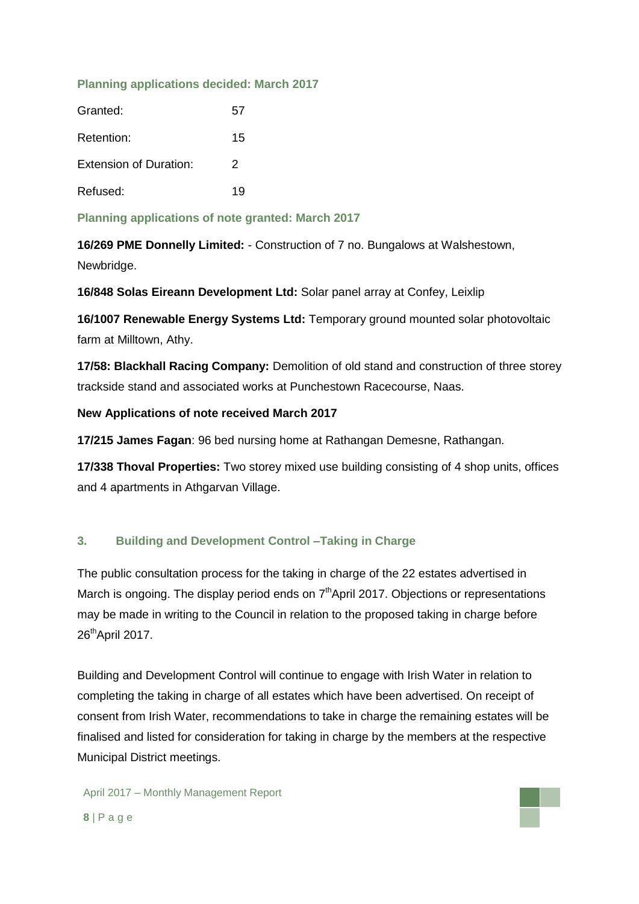### **Planning applications decided: March 2017**

| Granted:                      | 57 |
|-------------------------------|----|
| Retention:                    | 15 |
| <b>Extension of Duration:</b> | 2  |
| Refused:                      | 19 |

**Planning applications of note granted: March 2017**

**16/269 PME Donnelly Limited:** - Construction of 7 no. Bungalows at Walshestown, Newbridge.

**16/848 Solas Eireann Development Ltd:** Solar panel array at Confey, Leixlip

**16/1007 Renewable Energy Systems Ltd:** Temporary ground mounted solar photovoltaic farm at Milltown, Athy.

**17/58: Blackhall Racing Company:** Demolition of old stand and construction of three storey trackside stand and associated works at Punchestown Racecourse, Naas.

## **New Applications of note received March 2017**

**17/215 James Fagan**: 96 bed nursing home at Rathangan Demesne, Rathangan.

**17/338 Thoval Properties:** Two storey mixed use building consisting of 4 shop units, offices and 4 apartments in Athgarvan Village.

## **3. Building and Development Control –Taking in Charge**

The public consultation process for the taking in charge of the 22 estates advertised in March is ongoing. The display period ends on  $7<sup>th</sup>$ April 2017. Objections or representations may be made in writing to the Council in relation to the proposed taking in charge before 26<sup>th</sup>April 2017.

Building and Development Control will continue to engage with Irish Water in relation to completing the taking in charge of all estates which have been advertised. On receipt of consent from Irish Water, recommendations to take in charge the remaining estates will be finalised and listed for consideration for taking in charge by the members at the respective Municipal District meetings.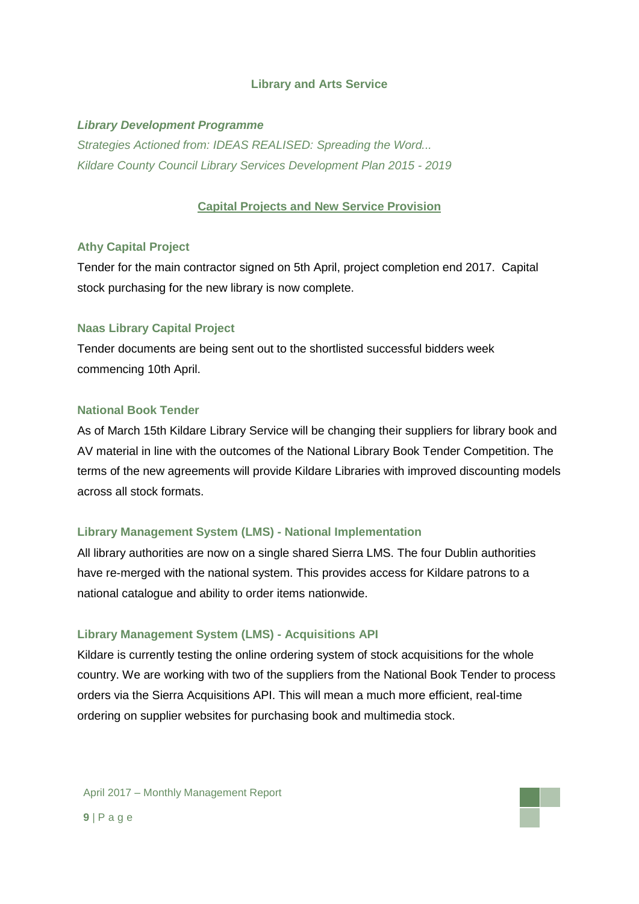### **Library and Arts Service**

### *Library Development Programme*

*Strategies Actioned from: IDEAS REALISED: Spreading the Word... Kildare County Council Library Services Development Plan 2015 - 2019*

### **Capital Projects and New Service Provision**

#### **Athy Capital Project**

Tender for the main contractor signed on 5th April, project completion end 2017. Capital stock purchasing for the new library is now complete.

### **Naas Library Capital Project**

Tender documents are being sent out to the shortlisted successful bidders week commencing 10th April.

#### **National Book Tender**

As of March 15th Kildare Library Service will be changing their suppliers for library book and AV material in line with the outcomes of the National Library Book Tender Competition. The terms of the new agreements will provide Kildare Libraries with improved discounting models across all stock formats.

### **Library Management System (LMS) - National Implementation**

All library authorities are now on a single shared Sierra LMS. The four Dublin authorities have re-merged with the national system. This provides access for Kildare patrons to a national catalogue and ability to order items nationwide.

#### **Library Management System (LMS) - Acquisitions API**

Kildare is currently testing the online ordering system of stock acquisitions for the whole country. We are working with two of the suppliers from the National Book Tender to process orders via the Sierra Acquisitions API. This will mean a much more efficient, real-time ordering on supplier websites for purchasing book and multimedia stock.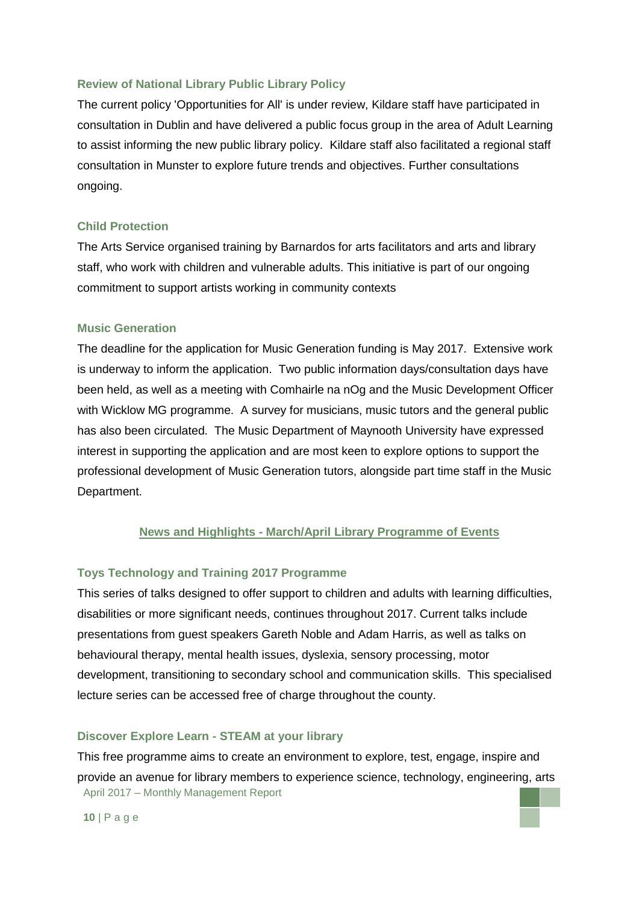### **Review of National Library Public Library Policy**

The current policy 'Opportunities for All' is under review, Kildare staff have participated in consultation in Dublin and have delivered a public focus group in the area of Adult Learning to assist informing the new public library policy. Kildare staff also facilitated a regional staff consultation in Munster to explore future trends and objectives. Further consultations ongoing.

#### **Child Protection**

The Arts Service organised training by Barnardos for arts facilitators and arts and library staff, who work with children and vulnerable adults. This initiative is part of our ongoing commitment to support artists working in community contexts

#### **Music Generation**

The deadline for the application for Music Generation funding is May 2017. Extensive work is underway to inform the application. Two public information days/consultation days have been held, as well as a meeting with Comhairle na nOg and the Music Development Officer with Wicklow MG programme. A survey for musicians, music tutors and the general public has also been circulated. The Music Department of Maynooth University have expressed interest in supporting the application and are most keen to explore options to support the professional development of Music Generation tutors, alongside part time staff in the Music Department.

#### **News and Highlights - March/April Library Programme of Events**

#### **Toys Technology and Training 2017 Programme**

This series of talks designed to offer support to children and adults with learning difficulties, disabilities or more significant needs, continues throughout 2017. Current talks include presentations from guest speakers Gareth Noble and Adam Harris, as well as talks on behavioural therapy, mental health issues, dyslexia, sensory processing, motor development, transitioning to secondary school and communication skills. This specialised lecture series can be accessed free of charge throughout the county.

#### **Discover Explore Learn - STEAM at your library**

April 2017 – Monthly Management Report This free programme aims to create an environment to explore, test, engage, inspire and provide an avenue for library members to experience science, technology, engineering, arts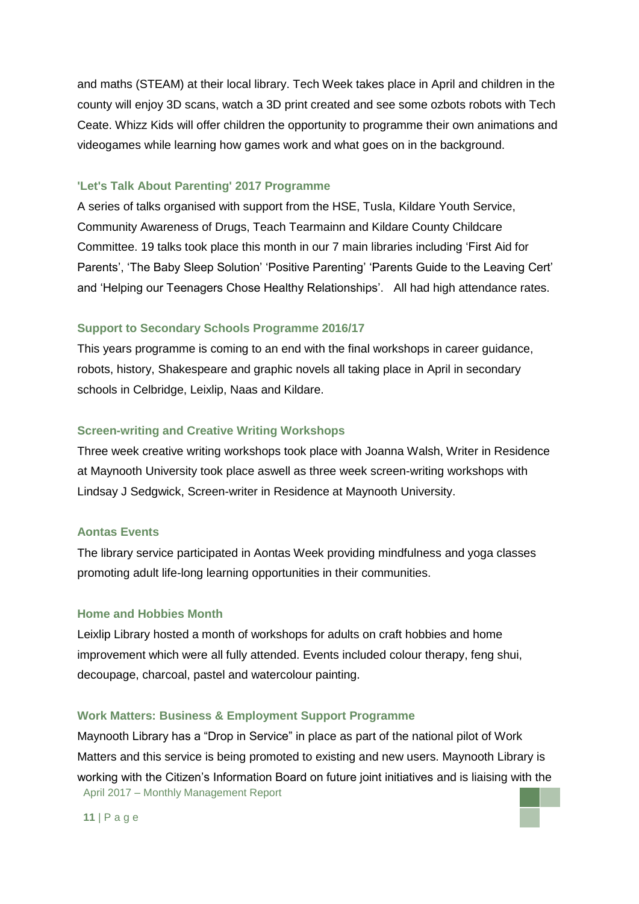and maths (STEAM) at their local library. Tech Week takes place in April and children in the county will enjoy 3D scans, watch a 3D print created and see some ozbots robots with Tech Ceate. Whizz Kids will offer children the opportunity to programme their own animations and videogames while learning how games work and what goes on in the background.

#### **'Let's Talk About Parenting' 2017 Programme**

A series of talks organised with support from the HSE, Tusla, Kildare Youth Service, Community Awareness of Drugs, Teach Tearmainn and Kildare County Childcare Committee. 19 talks took place this month in our 7 main libraries including 'First Aid for Parents', 'The Baby Sleep Solution' 'Positive Parenting' 'Parents Guide to the Leaving Cert' and 'Helping our Teenagers Chose Healthy Relationships'. All had high attendance rates.

#### **Support to Secondary Schools Programme 2016/17**

This years programme is coming to an end with the final workshops in career guidance, robots, history, Shakespeare and graphic novels all taking place in April in secondary schools in Celbridge, Leixlip, Naas and Kildare.

#### **Screen-writing and Creative Writing Workshops**

Three week creative writing workshops took place with Joanna Walsh, Writer in Residence at Maynooth University took place aswell as three week screen-writing workshops with Lindsay J Sedgwick, Screen-writer in Residence at Maynooth University.

#### **Aontas Events**

The library service participated in Aontas Week providing mindfulness and yoga classes promoting adult life-long learning opportunities in their communities.

#### **Home and Hobbies Month**

Leixlip Library hosted a month of workshops for adults on craft hobbies and home improvement which were all fully attended. Events included colour therapy, feng shui, decoupage, charcoal, pastel and watercolour painting.

#### **Work Matters: Business & Employment Support Programme**

April 2017 – Monthly Management Report Maynooth Library has a "Drop in Service" in place as part of the national pilot of Work Matters and this service is being promoted to existing and new users. Maynooth Library is working with the Citizen's Information Board on future joint initiatives and is liaising with the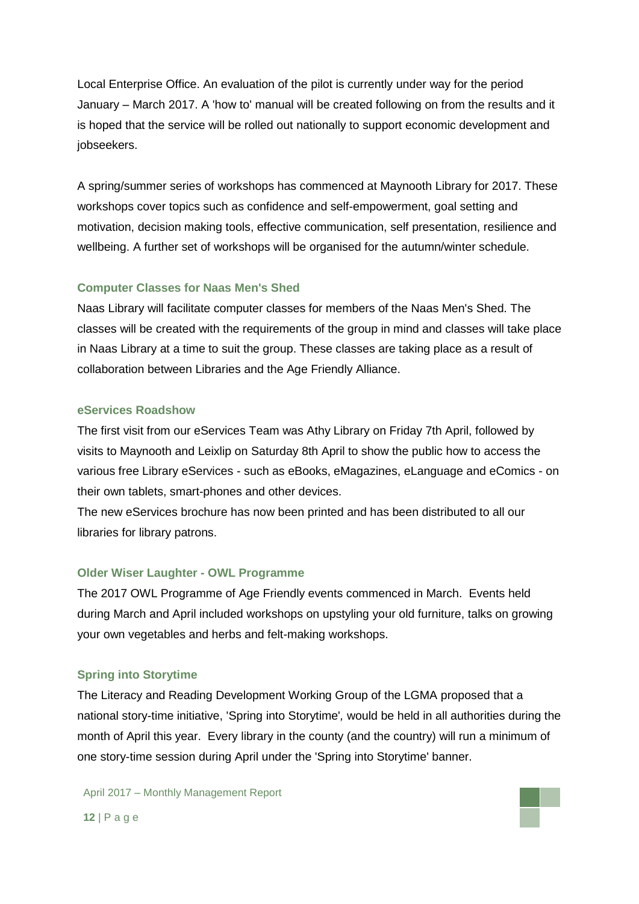Local Enterprise Office. An evaluation of the pilot is currently under way for the period January – March 2017. A 'how to' manual will be created following on from the results and it is hoped that the service will be rolled out nationally to support economic development and jobseekers.

A spring/summer series of workshops has commenced at Maynooth Library for 2017. These workshops cover topics such as confidence and self-empowerment, goal setting and motivation, decision making tools, effective communication, self presentation, resilience and wellbeing. A further set of workshops will be organised for the autumn/winter schedule.

### **Computer Classes for Naas Men's Shed**

Naas Library will facilitate computer classes for members of the Naas Men's Shed. The classes will be created with the requirements of the group in mind and classes will take place in Naas Library at a time to suit the group. These classes are taking place as a result of collaboration between Libraries and the Age Friendly Alliance.

#### **eServices Roadshow**

The first visit from our eServices Team was Athy Library on Friday 7th April, followed by visits to Maynooth and Leixlip on Saturday 8th April to show the public how to access the various free Library eServices - such as eBooks, eMagazines, eLanguage and eComics - on their own tablets, smart-phones and other devices.

The new eServices brochure has now been printed and has been distributed to all our libraries for library patrons.

#### **Older Wiser Laughter - OWL Programme**

The 2017 OWL Programme of Age Friendly events commenced in March. Events held during March and April included workshops on upstyling your old furniture, talks on growing your own vegetables and herbs and felt-making workshops.

#### **Spring into Storytime**

The Literacy and Reading Development Working Group of the LGMA proposed that a national story-time initiative, 'Spring into Storytime'*,* would be held in all authorities during the month of April this year. Every library in the county (and the country) will run a minimum of one story-time session during April under the 'Spring into Storytime' banner.

April 2017 – Monthly Management Report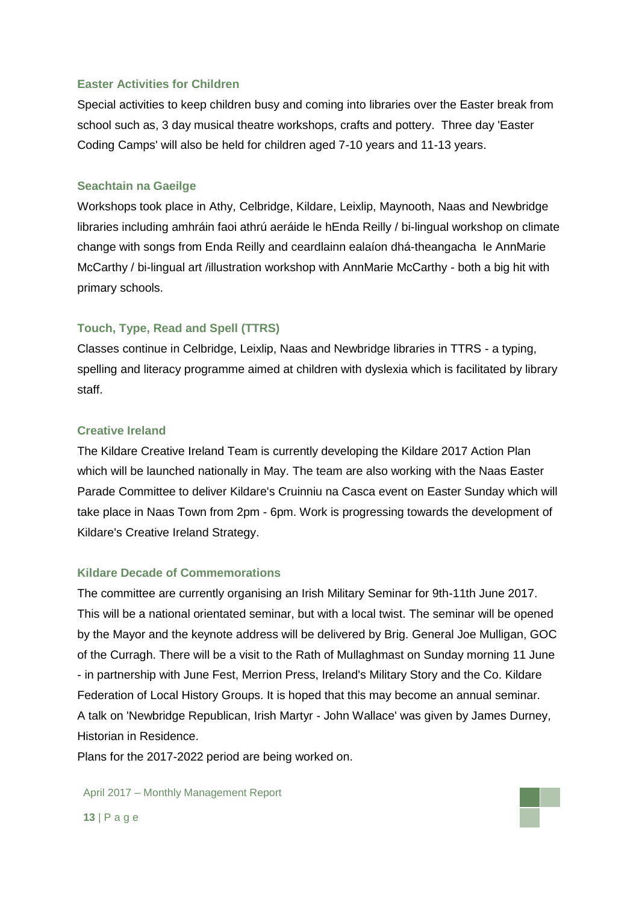### **Easter Activities for Children**

Special activities to keep children busy and coming into libraries over the Easter break from school such as, 3 day musical theatre workshops, crafts and pottery. Three day 'Easter Coding Camps' will also be held for children aged 7-10 years and 11-13 years.

#### **Seachtain na Gaeilge**

Workshops took place in Athy, Celbridge, Kildare, Leixlip, Maynooth, Naas and Newbridge libraries including amhráin faoi athrú aeráide le hEnda Reilly / bi-lingual workshop on climate change with songs from Enda Reilly and ceardlainn ealaíon dhá-theangacha le AnnMarie McCarthy / bi-lingual art /illustration workshop with AnnMarie McCarthy - both a big hit with primary schools.

#### **Touch, Type, Read and Spell (TTRS)**

Classes continue in Celbridge, Leixlip, Naas and Newbridge libraries in TTRS - a typing, spelling and literacy programme aimed at children with dyslexia which is facilitated by library staff.

#### **Creative Ireland**

The Kildare Creative Ireland Team is currently developing the Kildare 2017 Action Plan which will be launched nationally in May. The team are also working with the Naas Easter Parade Committee to deliver Kildare's Cruinniu na Casca event on Easter Sunday which will take place in Naas Town from 2pm - 6pm. Work is progressing towards the development of Kildare's Creative Ireland Strategy.

#### **Kildare Decade of Commemorations**

The committee are currently organising an Irish Military Seminar for 9th-11th June 2017. This will be a national orientated seminar, but with a local twist. The seminar will be opened by the Mayor and the keynote address will be delivered by Brig. General Joe Mulligan, GOC of the Curragh. There will be a visit to the Rath of Mullaghmast on Sunday morning 11 June - in partnership with June Fest, Merrion Press, Ireland's Military Story and the Co. Kildare Federation of Local History Groups. It is hoped that this may become an annual seminar. A talk on 'Newbridge Republican, Irish Martyr - John Wallace' was given by James Durney, Historian in Residence.

Plans for the 2017-2022 period are being worked on.

April 2017 – Monthly Management Report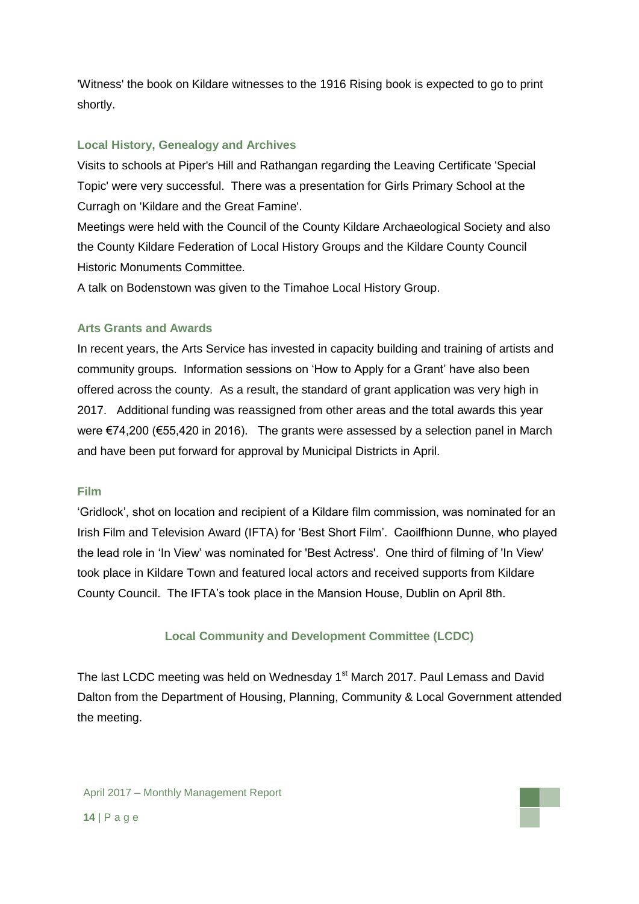'Witness' the book on Kildare witnesses to the 1916 Rising book is expected to go to print shortly.

## **Local History, Genealogy and Archives**

Visits to schools at Piper's Hill and Rathangan regarding the Leaving Certificate 'Special Topic' were very successful. There was a presentation for Girls Primary School at the Curragh on 'Kildare and the Great Famine'.

Meetings were held with the Council of the County Kildare Archaeological Society and also the County Kildare Federation of Local History Groups and the Kildare County Council Historic Monuments Committee.

A talk on Bodenstown was given to the Timahoe Local History Group.

## **Arts Grants and Awards**

In recent years, the Arts Service has invested in capacity building and training of artists and community groups. Information sessions on 'How to Apply for a Grant' have also been offered across the county. As a result, the standard of grant application was very high in 2017. Additional funding was reassigned from other areas and the total awards this year were €74,200 (€55,420 in 2016). The grants were assessed by a selection panel in March and have been put forward for approval by Municipal Districts in April.

### **Film**

'Gridlock', shot on location and recipient of a Kildare film commission, was nominated for an Irish Film and Television Award (IFTA) for 'Best Short Film'. Caoilfhionn Dunne, who played the lead role in 'In View' was nominated for 'Best Actress'. One third of filming of 'In View' took place in Kildare Town and featured local actors and received supports from Kildare County Council. The IFTA's took place in the Mansion House, Dublin on April 8th.

## **Local Community and Development Committee (LCDC)**

The last LCDC meeting was held on Wednesday 1<sup>st</sup> March 2017. Paul Lemass and David Dalton from the Department of Housing, Planning, Community & Local Government attended the meeting.

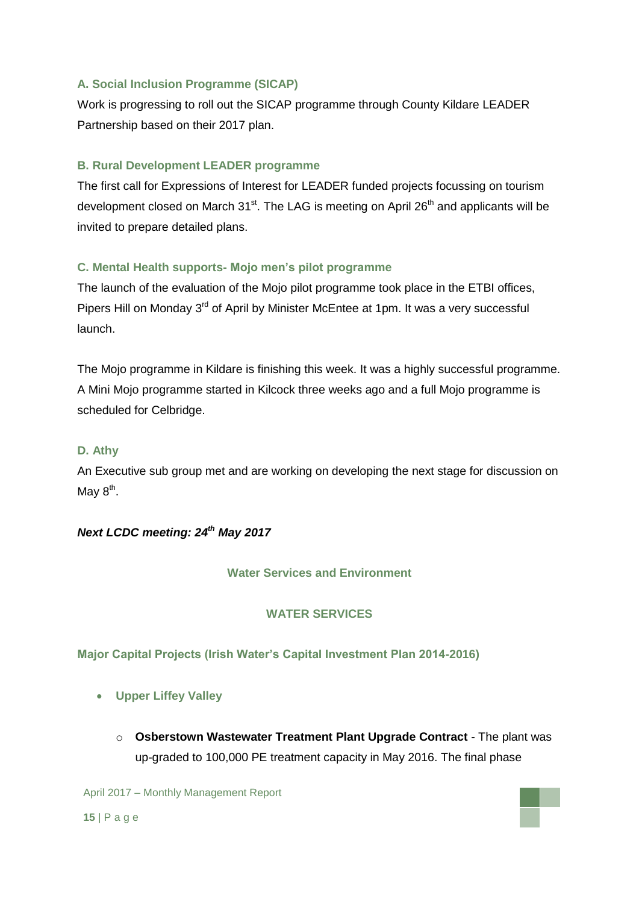## **A. Social Inclusion Programme (SICAP)**

Work is progressing to roll out the SICAP programme through County Kildare LEADER Partnership based on their 2017 plan.

## **B. Rural Development LEADER programme**

The first call for Expressions of Interest for LEADER funded projects focussing on tourism development closed on March  $31<sup>st</sup>$ . The LAG is meeting on April  $26<sup>th</sup>$  and applicants will be invited to prepare detailed plans.

## **C. Mental Health supports- Mojo men's pilot programme**

The launch of the evaluation of the Mojo pilot programme took place in the ETBI offices, Pipers Hill on Monday 3<sup>rd</sup> of April by Minister McEntee at 1pm. It was a very successful launch.

The Mojo programme in Kildare is finishing this week. It was a highly successful programme. A Mini Mojo programme started in Kilcock three weeks ago and a full Mojo programme is scheduled for Celbridge.

### **D. Athy**

An Executive sub group met and are working on developing the next stage for discussion on May  $8^{\text{th}}$ .

## *Next LCDC meeting: 24th May 2017*

### **Water Services and Environment**

### **WATER SERVICES**

### **Major Capital Projects (Irish Water's Capital Investment Plan 2014-2016)**

- **Upper Liffey Valley** 
	- o **Osberstown Wastewater Treatment Plant Upgrade Contract** The plant was up-graded to 100,000 PE treatment capacity in May 2016. The final phase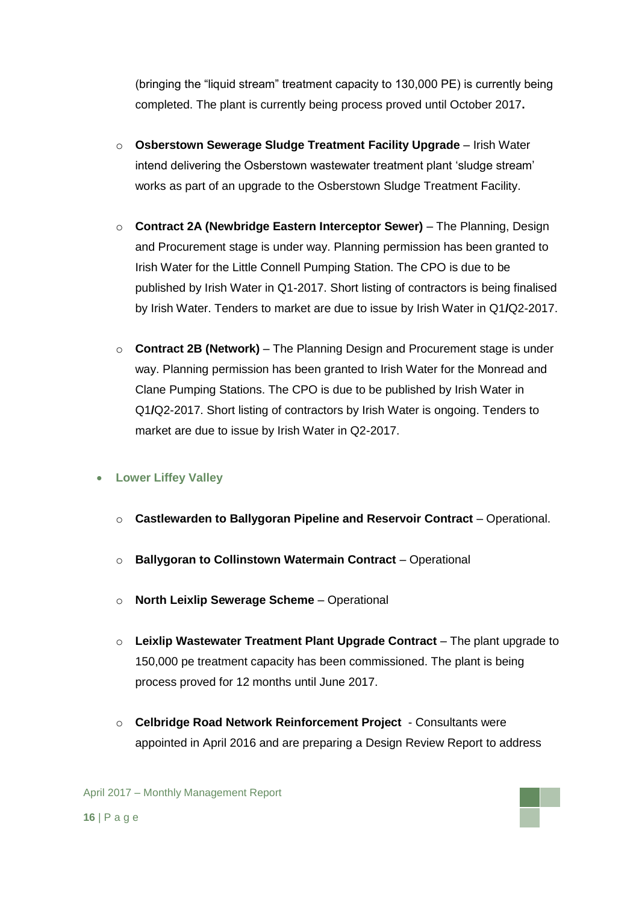(bringing the "liquid stream" treatment capacity to 130,000 PE) is currently being completed. The plant is currently being process proved until October 2017**.** 

- o **Osberstown Sewerage Sludge Treatment Facility Upgrade** Irish Water intend delivering the Osberstown wastewater treatment plant 'sludge stream' works as part of an upgrade to the Osberstown Sludge Treatment Facility.
- o **Contract 2A (Newbridge Eastern Interceptor Sewer)** The Planning, Design and Procurement stage is under way. Planning permission has been granted to Irish Water for the Little Connell Pumping Station. The CPO is due to be published by Irish Water in Q1-2017. Short listing of contractors is being finalised by Irish Water. Tenders to market are due to issue by Irish Water in Q1**/**Q2-2017.
- o **Contract 2B (Network)** The Planning Design and Procurement stage is under way. Planning permission has been granted to Irish Water for the Monread and Clane Pumping Stations. The CPO is due to be published by Irish Water in Q1**/**Q2-2017. Short listing of contractors by Irish Water is ongoing. Tenders to market are due to issue by Irish Water in Q2-2017.

## **Lower Liffey Valley**

- o **Castlewarden to Ballygoran Pipeline and Reservoir Contract** Operational.
- o **Ballygoran to Collinstown Watermain Contract** Operational
- o **North Leixlip Sewerage Scheme** Operational
- o **Leixlip Wastewater Treatment Plant Upgrade Contract** The plant upgrade to 150,000 pe treatment capacity has been commissioned. The plant is being process proved for 12 months until June 2017.
- o **Celbridge Road Network Reinforcement Project**  Consultants were appointed in April 2016 and are preparing a Design Review Report to address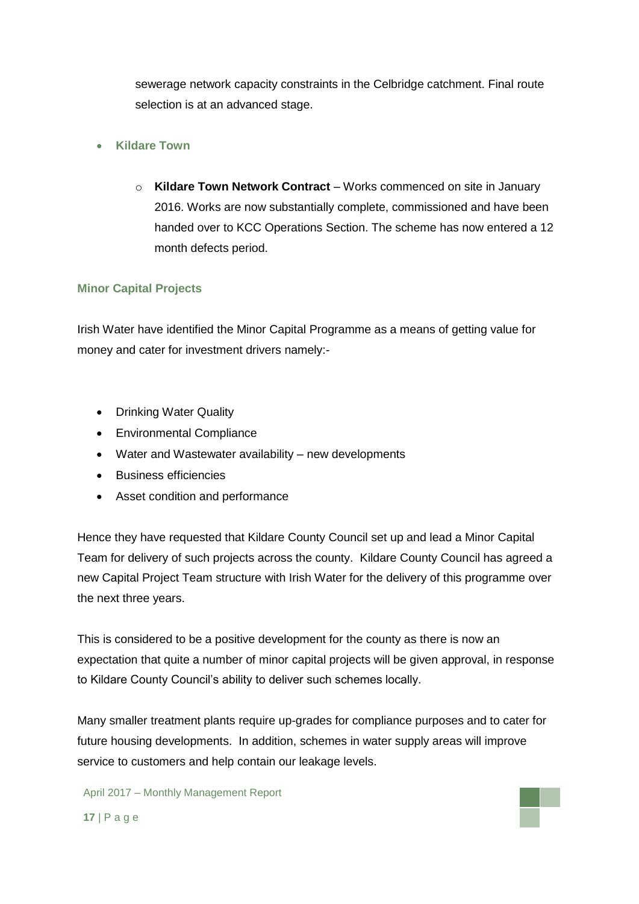sewerage network capacity constraints in the Celbridge catchment. Final route selection is at an advanced stage.

## **Kildare Town**

o **Kildare Town Network Contract** – Works commenced on site in January 2016. Works are now substantially complete, commissioned and have been handed over to KCC Operations Section. The scheme has now entered a 12 month defects period.

## **Minor Capital Projects**

Irish Water have identified the Minor Capital Programme as a means of getting value for money and cater for investment drivers namely:-

- Drinking Water Quality
- Environmental Compliance
- Water and Wastewater availability new developments
- Business efficiencies
- Asset condition and performance

Hence they have requested that Kildare County Council set up and lead a Minor Capital Team for delivery of such projects across the county. Kildare County Council has agreed a new Capital Project Team structure with Irish Water for the delivery of this programme over the next three years.

This is considered to be a positive development for the county as there is now an expectation that quite a number of minor capital projects will be given approval, in response to Kildare County Council's ability to deliver such schemes locally.

Many smaller treatment plants require up-grades for compliance purposes and to cater for future housing developments. In addition, schemes in water supply areas will improve service to customers and help contain our leakage levels.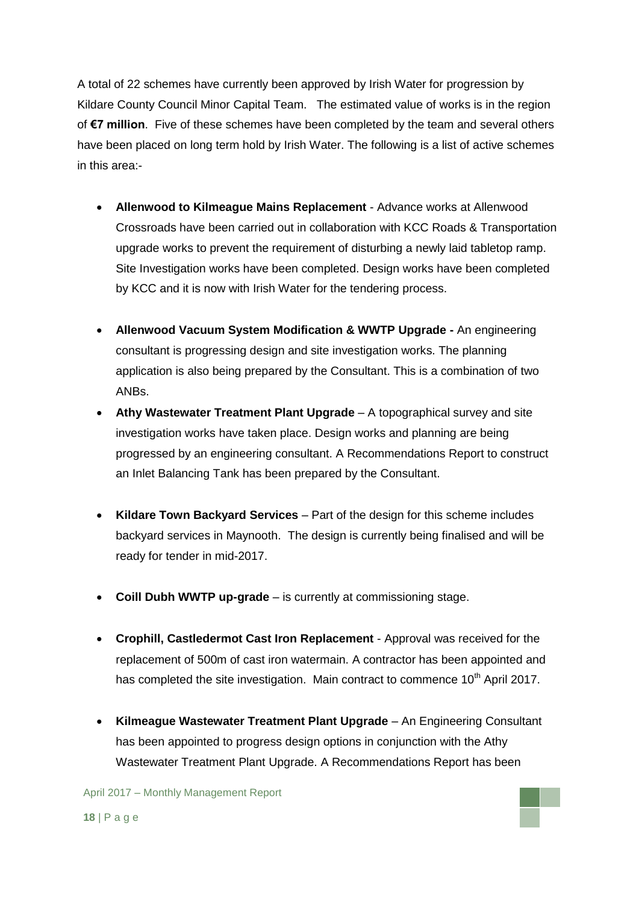A total of 22 schemes have currently been approved by Irish Water for progression by Kildare County Council Minor Capital Team. The estimated value of works is in the region of **€7 million**. Five of these schemes have been completed by the team and several others have been placed on long term hold by Irish Water. The following is a list of active schemes in this area:-

- **Allenwood to Kilmeague Mains Replacement** Advance works at Allenwood Crossroads have been carried out in collaboration with KCC Roads & Transportation upgrade works to prevent the requirement of disturbing a newly laid tabletop ramp. Site Investigation works have been completed. Design works have been completed by KCC and it is now with Irish Water for the tendering process.
- **Allenwood Vacuum System Modification & WWTP Upgrade -** An engineering consultant is progressing design and site investigation works. The planning application is also being prepared by the Consultant. This is a combination of two ANBs.
- **Athy Wastewater Treatment Plant Upgrade** A topographical survey and site investigation works have taken place. Design works and planning are being progressed by an engineering consultant. A Recommendations Report to construct an Inlet Balancing Tank has been prepared by the Consultant.
- **Kildare Town Backyard Services** Part of the design for this scheme includes backyard services in Maynooth. The design is currently being finalised and will be ready for tender in mid-2017.
- **Coill Dubh WWTP up-grade** is currently at commissioning stage.
- **Crophill, Castledermot Cast Iron Replacement**  Approval was received for the replacement of 500m of cast iron watermain. A contractor has been appointed and has completed the site investigation. Main contract to commence  $10<sup>th</sup>$  April 2017.
- **Kilmeague Wastewater Treatment Plant Upgrade** An Engineering Consultant has been appointed to progress design options in conjunction with the Athy Wastewater Treatment Plant Upgrade. A Recommendations Report has been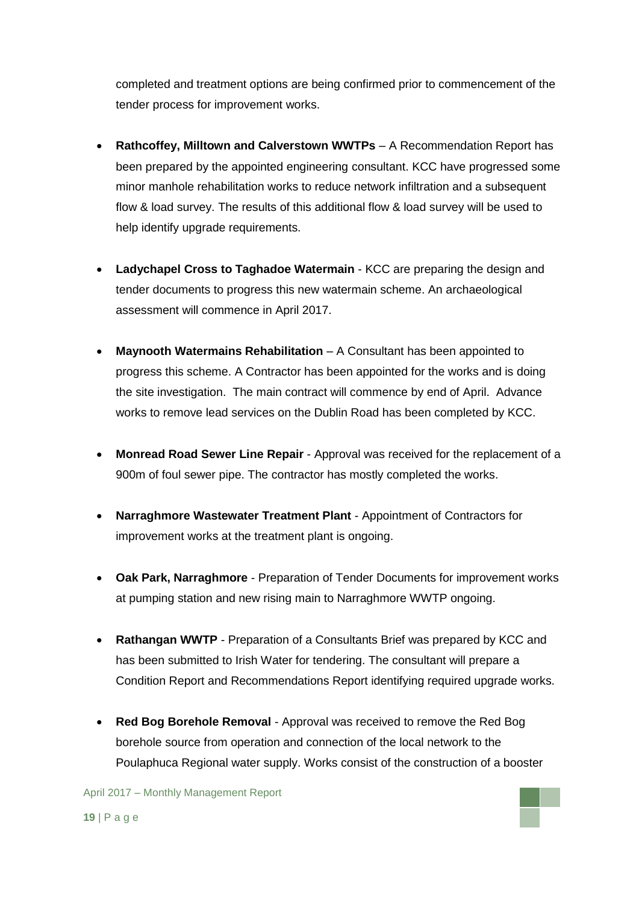completed and treatment options are being confirmed prior to commencement of the tender process for improvement works.

- **Rathcoffey, Milltown and Calverstown WWTPs** A Recommendation Report has been prepared by the appointed engineering consultant. KCC have progressed some minor manhole rehabilitation works to reduce network infiltration and a subsequent flow & load survey. The results of this additional flow & load survey will be used to help identify upgrade requirements.
- **Ladychapel Cross to Taghadoe Watermain** KCC are preparing the design and tender documents to progress this new watermain scheme. An archaeological assessment will commence in April 2017.
- **Maynooth Watermains Rehabilitation** A Consultant has been appointed to progress this scheme. A Contractor has been appointed for the works and is doing the site investigation. The main contract will commence by end of April. Advance works to remove lead services on the Dublin Road has been completed by KCC.
- **Monread Road Sewer Line Repair**  Approval was received for the replacement of a 900m of foul sewer pipe. The contractor has mostly completed the works.
- **Narraghmore Wastewater Treatment Plant**  Appointment of Contractors for improvement works at the treatment plant is ongoing.
- **Oak Park, Narraghmore**  Preparation of Tender Documents for improvement works at pumping station and new rising main to Narraghmore WWTP ongoing.
- **Rathangan WWTP** Preparation of a Consultants Brief was prepared by KCC and has been submitted to Irish Water for tendering. The consultant will prepare a Condition Report and Recommendations Report identifying required upgrade works.
- **Red Bog Borehole Removal**  Approval was received to remove the Red Bog borehole source from operation and connection of the local network to the Poulaphuca Regional water supply. Works consist of the construction of a booster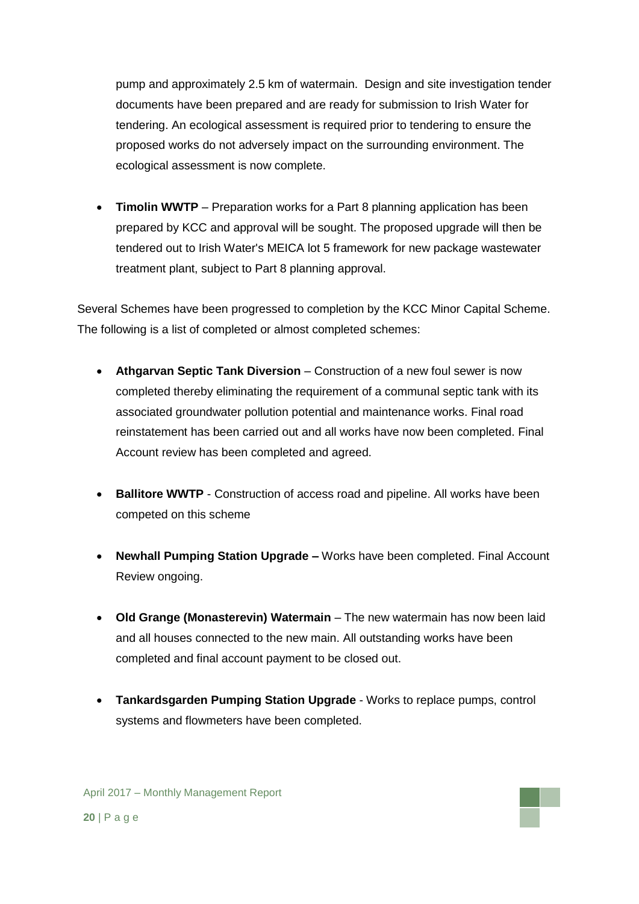pump and approximately 2.5 km of watermain. Design and site investigation tender documents have been prepared and are ready for submission to Irish Water for tendering. An ecological assessment is required prior to tendering to ensure the proposed works do not adversely impact on the surrounding environment. The ecological assessment is now complete.

 **Timolin WWTP** – Preparation works for a Part 8 planning application has been prepared by KCC and approval will be sought. The proposed upgrade will then be tendered out to Irish Water's MEICA lot 5 framework for new package wastewater treatment plant, subject to Part 8 planning approval.

Several Schemes have been progressed to completion by the KCC Minor Capital Scheme. The following is a list of completed or almost completed schemes:

- **Athgarvan Septic Tank Diversion** Construction of a new foul sewer is now completed thereby eliminating the requirement of a communal septic tank with its associated groundwater pollution potential and maintenance works. Final road reinstatement has been carried out and all works have now been completed. Final Account review has been completed and agreed.
- **Ballitore WWTP** Construction of access road and pipeline. All works have been competed on this scheme
- **Newhall Pumping Station Upgrade –** Works have been completed. Final Account Review ongoing.
- **Old Grange (Monasterevin) Watermain** The new watermain has now been laid and all houses connected to the new main. All outstanding works have been completed and final account payment to be closed out.
- **Tankardsgarden Pumping Station Upgrade** Works to replace pumps, control systems and flowmeters have been completed.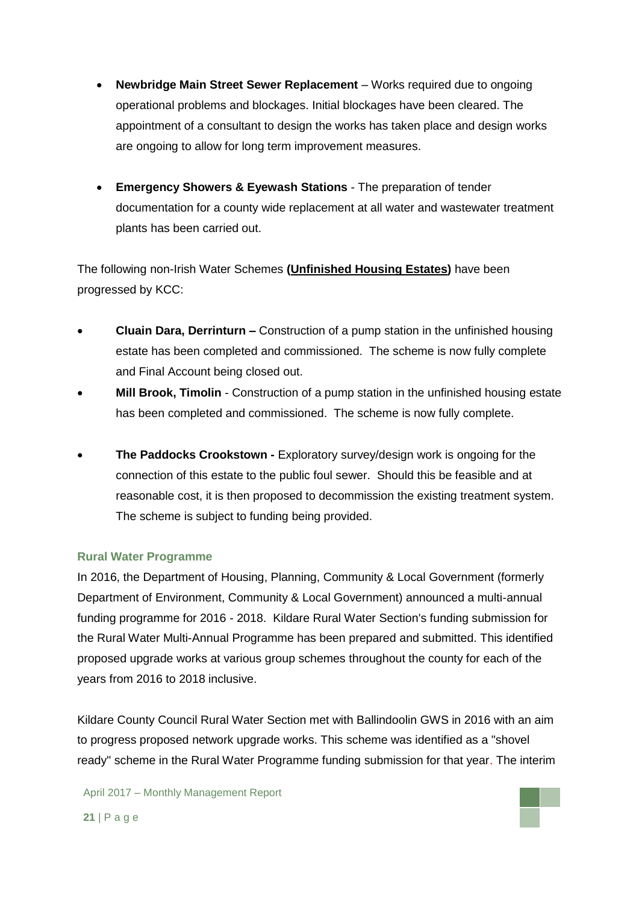- **Newbridge Main Street Sewer Replacement** Works required due to ongoing operational problems and blockages. Initial blockages have been cleared. The appointment of a consultant to design the works has taken place and design works are ongoing to allow for long term improvement measures.
- **Emergency Showers & Eyewash Stations** The preparation of tender documentation for a county wide replacement at all water and wastewater treatment plants has been carried out.

The following non-Irish Water Schemes **(Unfinished Housing Estates)** have been progressed by KCC:

- **Cluain Dara, Derrinturn –** Construction of a pump station in the unfinished housing estate has been completed and commissioned. The scheme is now fully complete and Final Account being closed out.
- **Mill Brook, Timolin** Construction of a pump station in the unfinished housing estate has been completed and commissioned. The scheme is now fully complete.
- **The Paddocks Crookstown -** Exploratory survey/design work is ongoing for the connection of this estate to the public foul sewer. Should this be feasible and at reasonable cost, it is then proposed to decommission the existing treatment system. The scheme is subject to funding being provided.

### **Rural Water Programme**

In 2016, the Department of Housing, Planning, Community & Local Government (formerly Department of Environment, Community & Local Government) announced a multi-annual funding programme for 2016 - 2018. Kildare Rural Water Section's funding submission for the Rural Water Multi-Annual Programme has been prepared and submitted. This identified proposed upgrade works at various group schemes throughout the county for each of the years from 2016 to 2018 inclusive.

Kildare County Council Rural Water Section met with Ballindoolin GWS in 2016 with an aim to progress proposed network upgrade works. This scheme was identified as a "shovel ready" scheme in the Rural Water Programme funding submission for that year. The interim

April 2017 – Monthly Management Report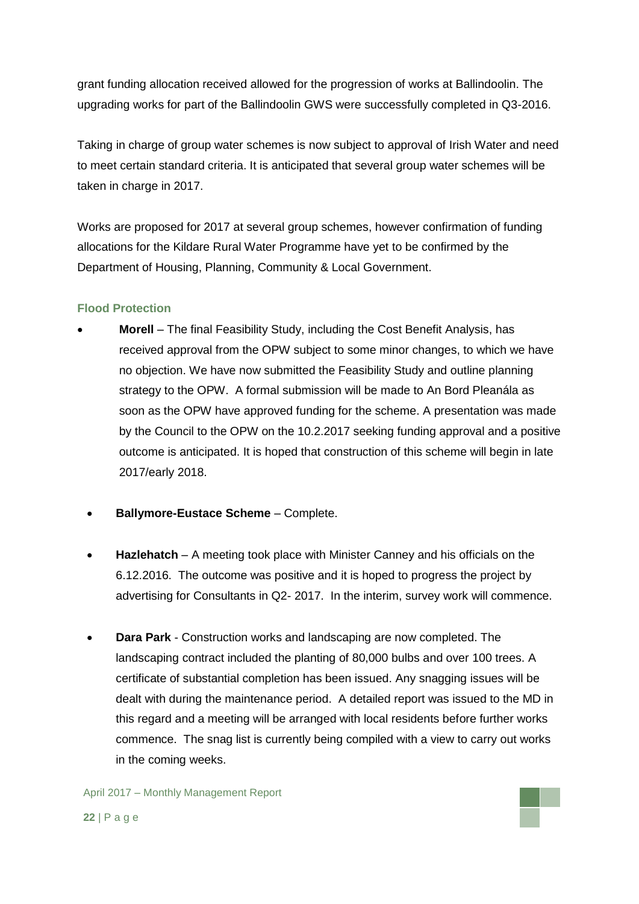grant funding allocation received allowed for the progression of works at Ballindoolin. The upgrading works for part of the Ballindoolin GWS were successfully completed in Q3-2016.

Taking in charge of group water schemes is now subject to approval of Irish Water and need to meet certain standard criteria. It is anticipated that several group water schemes will be taken in charge in 2017.

Works are proposed for 2017 at several group schemes, however confirmation of funding allocations for the Kildare Rural Water Programme have yet to be confirmed by the Department of Housing, Planning, Community & Local Government.

## **Flood Protection**

- **Morell**  The final Feasibility Study, including the Cost Benefit Analysis, has received approval from the OPW subject to some minor changes, to which we have no objection. We have now submitted the Feasibility Study and outline planning strategy to the OPW. A formal submission will be made to An Bord Pleanála as soon as the OPW have approved funding for the scheme. A presentation was made by the Council to the OPW on the 10.2.2017 seeking funding approval and a positive outcome is anticipated. It is hoped that construction of this scheme will begin in late 2017/early 2018.
	- **Ballymore-Eustace Scheme** Complete.
	- **Hazlehatch** A meeting took place with Minister Canney and his officials on the 6.12.2016. The outcome was positive and it is hoped to progress the project by advertising for Consultants in Q2- 2017. In the interim, survey work will commence.
	- **Dara Park** Construction works and landscaping are now completed. The landscaping contract included the planting of 80,000 bulbs and over 100 trees. A certificate of substantial completion has been issued. Any snagging issues will be dealt with during the maintenance period. A detailed report was issued to the MD in this regard and a meeting will be arranged with local residents before further works commence. The snag list is currently being compiled with a view to carry out works in the coming weeks.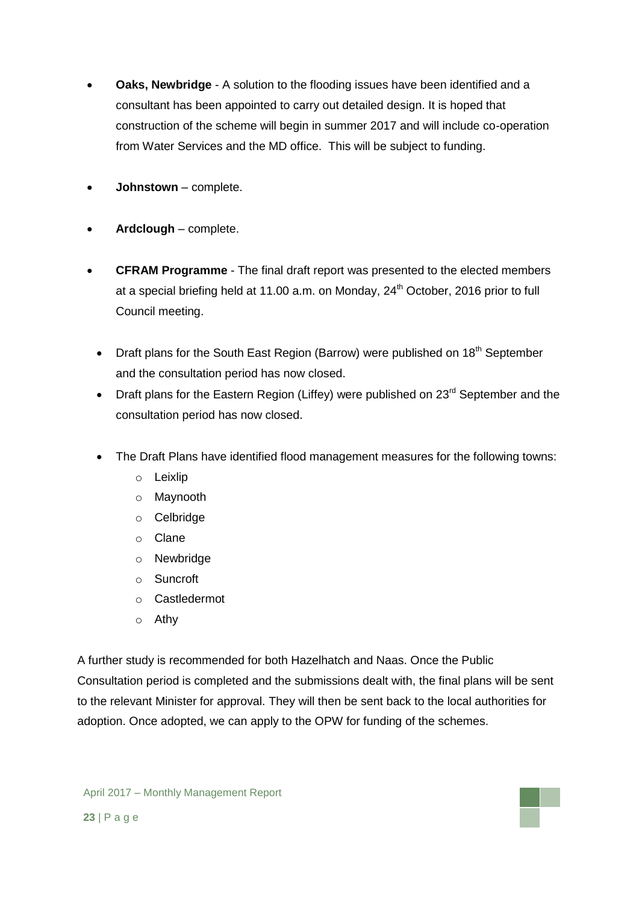- **Oaks, Newbridge** A solution to the flooding issues have been identified and a consultant has been appointed to carry out detailed design. It is hoped that construction of the scheme will begin in summer 2017 and will include co-operation from Water Services and the MD office. This will be subject to funding.
- **Johnstown**  complete.
- **Ardclough** complete.
- **CFRAM Programme** The final draft report was presented to the elected members at a special briefing held at 11.00 a.m. on Monday,  $24<sup>th</sup>$  October, 2016 prior to full Council meeting.
	- Draft plans for the South East Region (Barrow) were published on 18<sup>th</sup> September and the consultation period has now closed.
	- Draft plans for the Eastern Region (Liffey) were published on 23<sup>rd</sup> September and the consultation period has now closed.
	- The Draft Plans have identified flood management measures for the following towns:
		- o Leixlip
		- o Maynooth
		- o Celbridge
		- o Clane
		- o Newbridge
		- o Suncroft
		- o Castledermot
		- o Athy

A further study is recommended for both Hazelhatch and Naas. Once the Public Consultation period is completed and the submissions dealt with, the final plans will be sent to the relevant Minister for approval. They will then be sent back to the local authorities for adoption. Once adopted, we can apply to the OPW for funding of the schemes.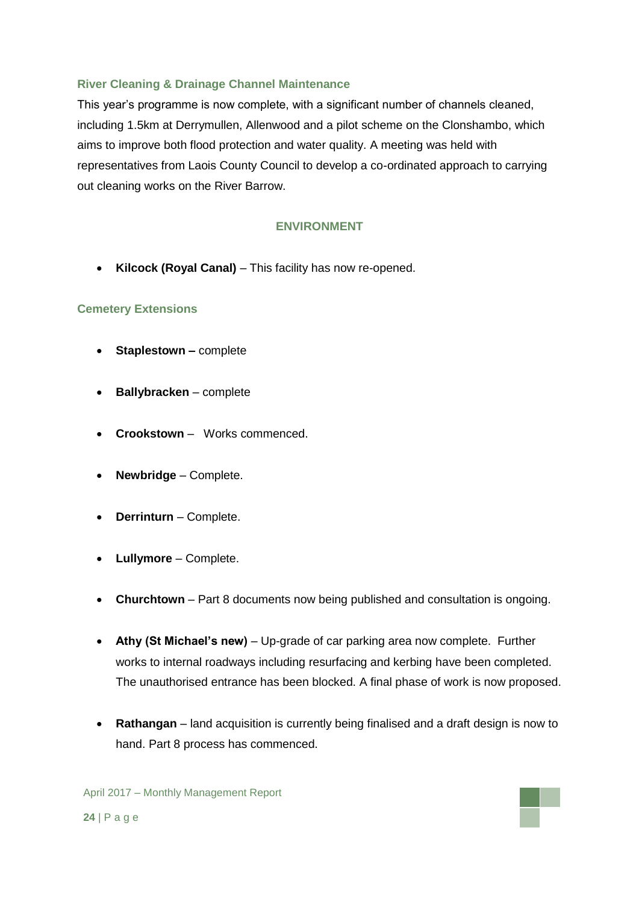## **River Cleaning & Drainage Channel Maintenance**

This year's programme is now complete, with a significant number of channels cleaned, including 1.5km at Derrymullen, Allenwood and a pilot scheme on the Clonshambo, which aims to improve both flood protection and water quality. A meeting was held with representatives from Laois County Council to develop a co-ordinated approach to carrying out cleaning works on the River Barrow.

## **ENVIRONMENT**

**Kilcock (Royal Canal)** – This facility has now re-opened.

## **Cemetery Extensions**

- **Staplestown –** complete
- **•** Ballybracken complete
- **Crookstown**  Works commenced.
- **Newbridge**  Complete.
- **Derrinturn** Complete.
- **Lullymore** Complete.
- **Churchtown** Part 8 documents now being published and consultation is ongoing.
- **Athy (St Michael's new)** Up-grade of car parking area now complete. Further works to internal roadways including resurfacing and kerbing have been completed. The unauthorised entrance has been blocked. A final phase of work is now proposed.
- **Rathangan** land acquisition is currently being finalised and a draft design is now to hand. Part 8 process has commenced.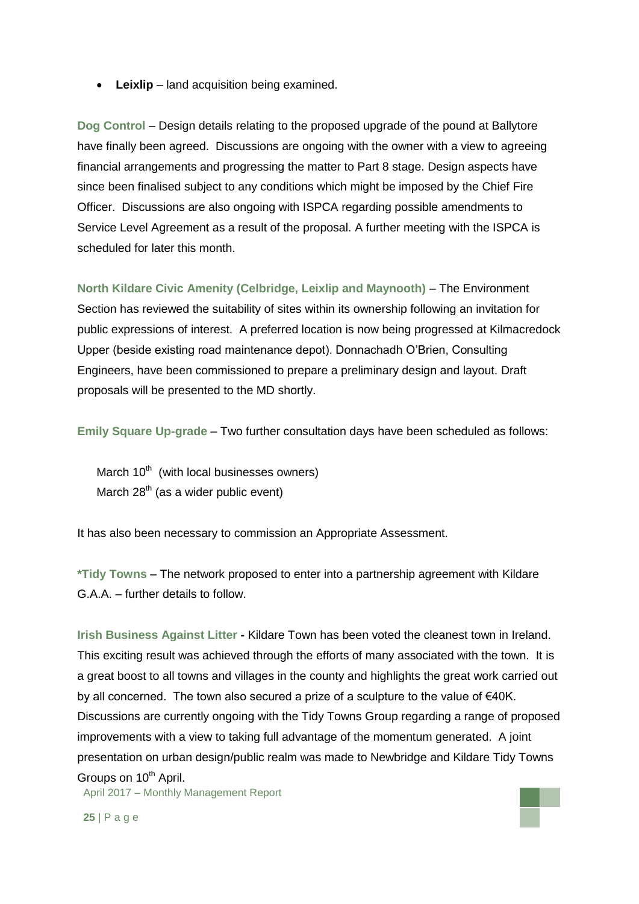**Leixlip** – land acquisition being examined.

**Dog Control** – Design details relating to the proposed upgrade of the pound at Ballytore have finally been agreed. Discussions are ongoing with the owner with a view to agreeing financial arrangements and progressing the matter to Part 8 stage. Design aspects have since been finalised subject to any conditions which might be imposed by the Chief Fire Officer. Discussions are also ongoing with ISPCA regarding possible amendments to Service Level Agreement as a result of the proposal. A further meeting with the ISPCA is scheduled for later this month.

**North Kildare Civic Amenity (Celbridge, Leixlip and Maynooth)** – The Environment Section has reviewed the suitability of sites within its ownership following an invitation for public expressions of interest. A preferred location is now being progressed at Kilmacredock Upper (beside existing road maintenance depot). Donnachadh O'Brien, Consulting Engineers, have been commissioned to prepare a preliminary design and layout. Draft proposals will be presented to the MD shortly.

**Emily Square Up-grade** – Two further consultation days have been scheduled as follows:

March  $10<sup>th</sup>$  (with local businesses owners) March  $28<sup>th</sup>$  (as a wider public event)

It has also been necessary to commission an Appropriate Assessment.

**\*Tidy Towns** – The network proposed to enter into a partnership agreement with Kildare G.A.A. – further details to follow.

April 2017 – Monthly Management Report **Irish Business Against Litter -** Kildare Town has been voted the cleanest town in Ireland. This exciting result was achieved through the efforts of many associated with the town. It is a great boost to all towns and villages in the county and highlights the great work carried out by all concerned. The town also secured a prize of a sculpture to the value of €40K. Discussions are currently ongoing with the Tidy Towns Group regarding a range of proposed improvements with a view to taking full advantage of the momentum generated. A joint presentation on urban design/public realm was made to Newbridge and Kildare Tidy Towns Groups on 10<sup>th</sup> April.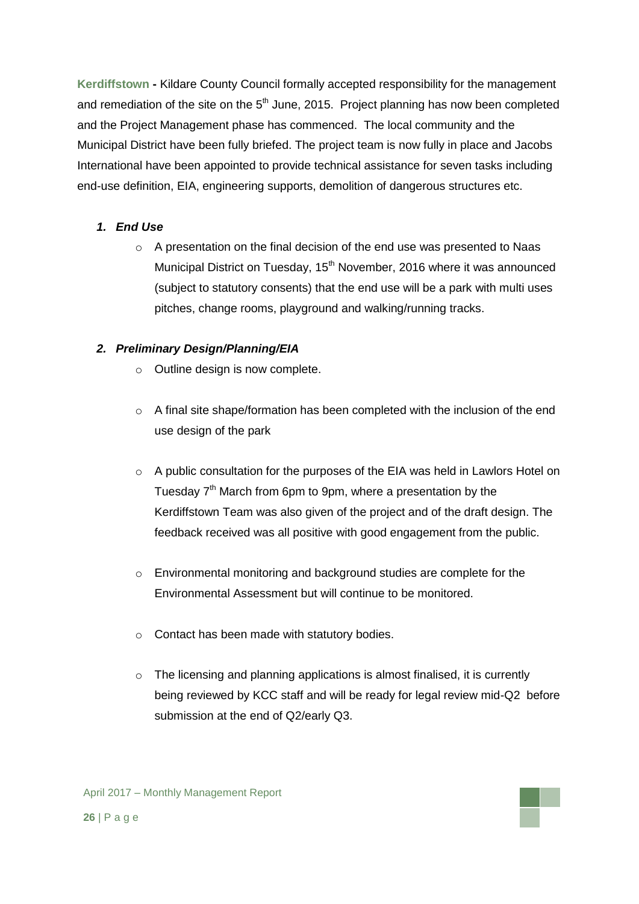**Kerdiffstown -** Kildare County Council formally accepted responsibility for the management and remediation of the site on the  $5<sup>th</sup>$  June, 2015. Project planning has now been completed and the Project Management phase has commenced. The local community and the Municipal District have been fully briefed. The project team is now fully in place and Jacobs International have been appointed to provide technical assistance for seven tasks including end-use definition, EIA, engineering supports, demolition of dangerous structures etc.

## *1. End Use*

o A presentation on the final decision of the end use was presented to Naas Municipal District on Tuesday, 15<sup>th</sup> November, 2016 where it was announced (subject to statutory consents) that the end use will be a park with multi uses pitches, change rooms, playground and walking/running tracks.

# *2. Preliminary Design/Planning/EIA*

- o Outline design is now complete.
- $\circ$  A final site shape/formation has been completed with the inclusion of the end use design of the park
- $\circ$  A public consultation for the purposes of the EIA was held in Lawlors Hotel on Tuesday 7<sup>th</sup> March from 6pm to 9pm, where a presentation by the Kerdiffstown Team was also given of the project and of the draft design. The feedback received was all positive with good engagement from the public.
- o Environmental monitoring and background studies are complete for the Environmental Assessment but will continue to be monitored.
- o Contact has been made with statutory bodies.
- o The licensing and planning applications is almost finalised, it is currently being reviewed by KCC staff and will be ready for legal review mid-Q2 before submission at the end of Q2/early Q3.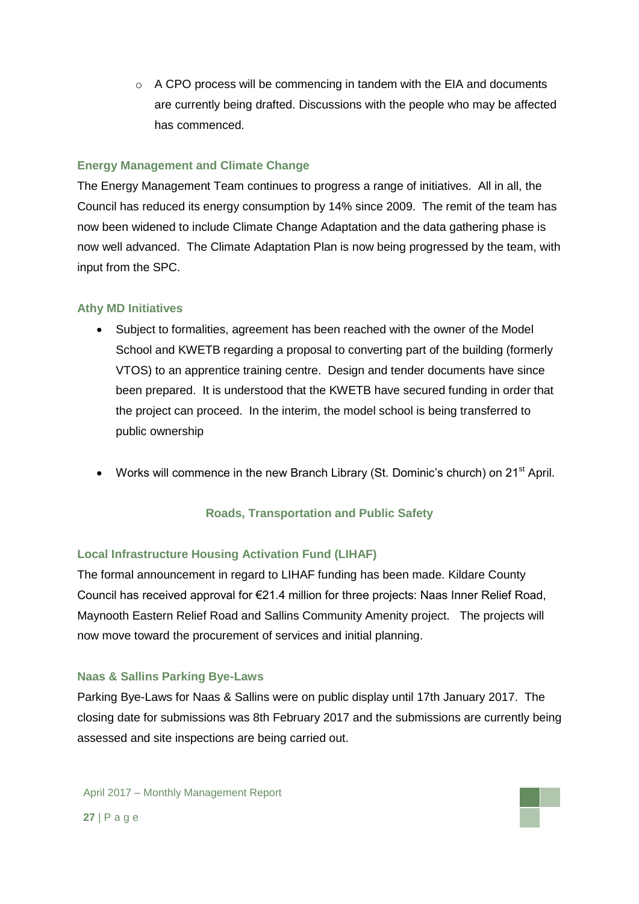$\circ$  A CPO process will be commencing in tandem with the EIA and documents are currently being drafted. Discussions with the people who may be affected has commenced.

## **Energy Management and Climate Change**

The Energy Management Team continues to progress a range of initiatives. All in all, the Council has reduced its energy consumption by 14% since 2009. The remit of the team has now been widened to include Climate Change Adaptation and the data gathering phase is now well advanced. The Climate Adaptation Plan is now being progressed by the team, with input from the SPC.

## **Athy MD Initiatives**

- Subject to formalities, agreement has been reached with the owner of the Model School and KWETB regarding a proposal to converting part of the building (formerly VTOS) to an apprentice training centre. Design and tender documents have since been prepared. It is understood that the KWETB have secured funding in order that the project can proceed. In the interim, the model school is being transferred to public ownership
- Works will commence in the new Branch Library (St. Dominic's church) on 21<sup>st</sup> April.

## **Roads, Transportation and Public Safety**

## **Local Infrastructure Housing Activation Fund (LIHAF)**

The formal announcement in regard to LIHAF funding has been made. Kildare County Council has received approval for €21.4 million for three projects: Naas Inner Relief Road, Maynooth Eastern Relief Road and Sallins Community Amenity project. The projects will now move toward the procurement of services and initial planning.

## **Naas & Sallins Parking Bye-Laws**

Parking Bye-Laws for Naas & Sallins were on public display until 17th January 2017. The closing date for submissions was 8th February 2017 and the submissions are currently being assessed and site inspections are being carried out.

April 2017 – Monthly Management Report **27** | P a g e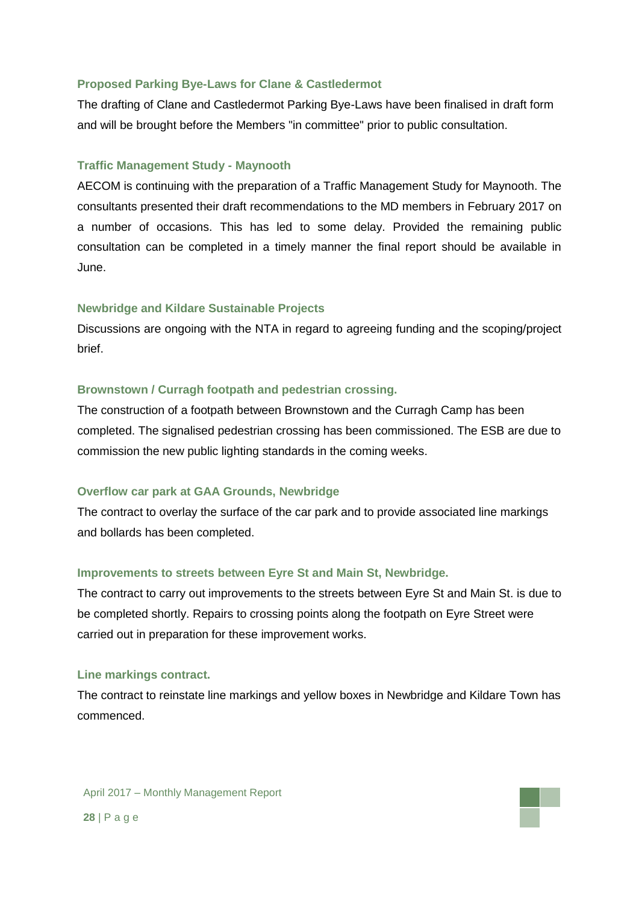### **Proposed Parking Bye-Laws for Clane & Castledermot**

The drafting of Clane and Castledermot Parking Bye-Laws have been finalised in draft form and will be brought before the Members "in committee" prior to public consultation.

#### **Traffic Management Study - Maynooth**

AECOM is continuing with the preparation of a Traffic Management Study for Maynooth. The consultants presented their draft recommendations to the MD members in February 2017 on a number of occasions. This has led to some delay. Provided the remaining public consultation can be completed in a timely manner the final report should be available in June.

#### **Newbridge and Kildare Sustainable Projects**

Discussions are ongoing with the NTA in regard to agreeing funding and the scoping/project brief.

#### **Brownstown / Curragh footpath and pedestrian crossing.**

The construction of a footpath between Brownstown and the Curragh Camp has been completed. The signalised pedestrian crossing has been commissioned. The ESB are due to commission the new public lighting standards in the coming weeks.

#### **Overflow car park at GAA Grounds, Newbridge**

The contract to overlay the surface of the car park and to provide associated line markings and bollards has been completed.

#### **Improvements to streets between Eyre St and Main St, Newbridge.**

The contract to carry out improvements to the streets between Eyre St and Main St. is due to be completed shortly. Repairs to crossing points along the footpath on Eyre Street were carried out in preparation for these improvement works.

#### **Line markings contract.**

The contract to reinstate line markings and yellow boxes in Newbridge and Kildare Town has commenced.

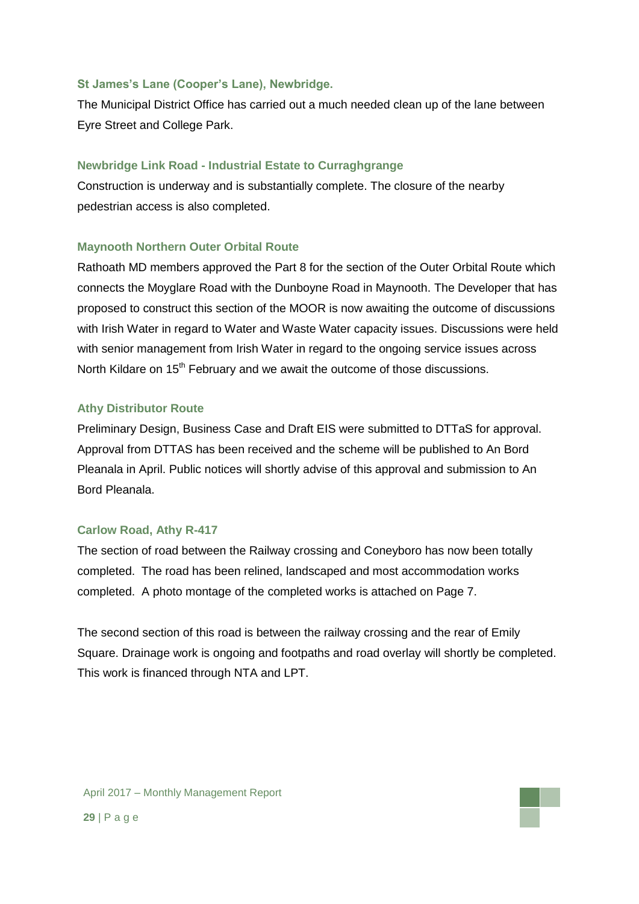### **St James's Lane (Cooper's Lane), Newbridge.**

The Municipal District Office has carried out a much needed clean up of the lane between Eyre Street and College Park.

## **Newbridge Link Road - Industrial Estate to Curraghgrange**

Construction is underway and is substantially complete. The closure of the nearby pedestrian access is also completed.

## **Maynooth Northern Outer Orbital Route**

Rathoath MD members approved the Part 8 for the section of the Outer Orbital Route which connects the Moyglare Road with the Dunboyne Road in Maynooth. The Developer that has proposed to construct this section of the MOOR is now awaiting the outcome of discussions with Irish Water in regard to Water and Waste Water capacity issues. Discussions were held with senior management from Irish Water in regard to the ongoing service issues across North Kildare on 15<sup>th</sup> February and we await the outcome of those discussions.

## **Athy Distributor Route**

Preliminary Design, Business Case and Draft EIS were submitted to DTTaS for approval. Approval from DTTAS has been received and the scheme will be published to An Bord Pleanala in April. Public notices will shortly advise of this approval and submission to An Bord Pleanala.

## **Carlow Road, Athy R-417**

The section of road between the Railway crossing and Coneyboro has now been totally completed. The road has been relined, landscaped and most accommodation works completed. A photo montage of the completed works is attached on Page 7.

The second section of this road is between the railway crossing and the rear of Emily Square. Drainage work is ongoing and footpaths and road overlay will shortly be completed. This work is financed through NTA and LPT.

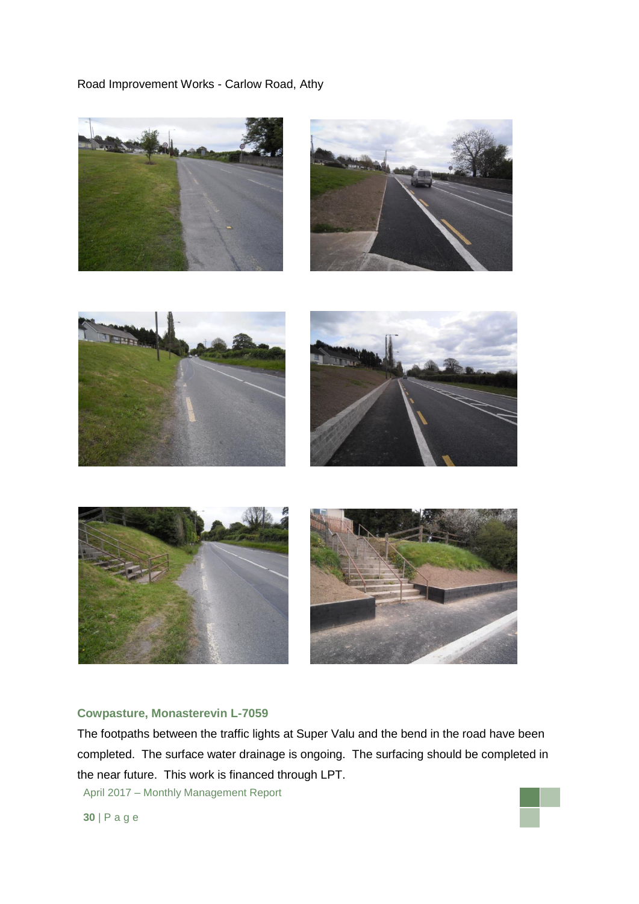Road Improvement Works - Carlow Road, Athy













### **Cowpasture, Monasterevin L-7059**

The footpaths between the traffic lights at Super Valu and the bend in the road have been completed. The surface water drainage is ongoing. The surfacing should be completed in the near future. This work is financed through LPT.

April 2017 – Monthly Management Report

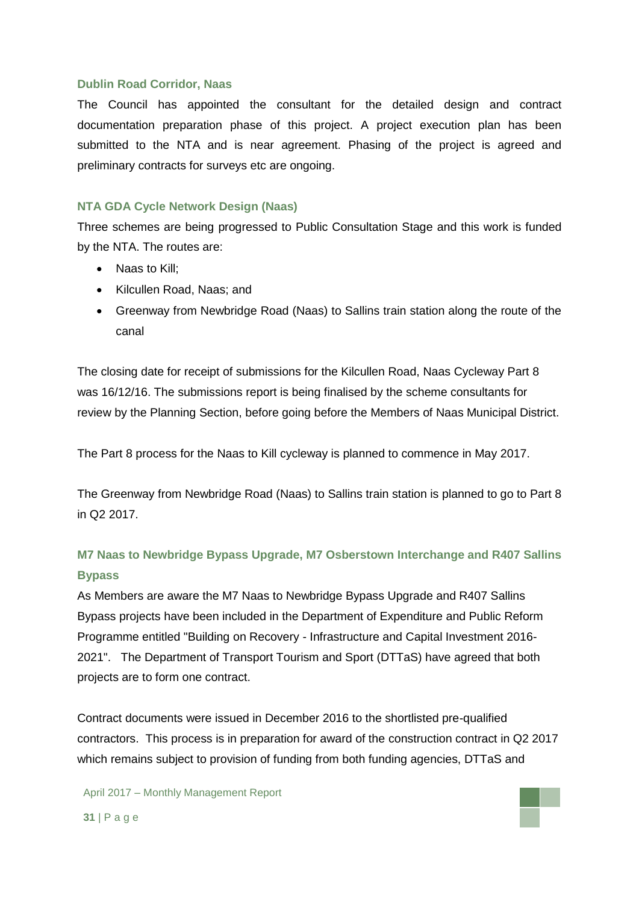### **Dublin Road Corridor, Naas**

The Council has appointed the consultant for the detailed design and contract documentation preparation phase of this project. A project execution plan has been submitted to the NTA and is near agreement. Phasing of the project is agreed and preliminary contracts for surveys etc are ongoing.

### **NTA GDA Cycle Network Design (Naas)**

Three schemes are being progressed to Public Consultation Stage and this work is funded by the NTA. The routes are:

- Naas to Kill:
- Kilcullen Road, Naas; and
- Greenway from Newbridge Road (Naas) to Sallins train station along the route of the canal

The closing date for receipt of submissions for the Kilcullen Road, Naas Cycleway Part 8 was 16/12/16. The submissions report is being finalised by the scheme consultants for review by the Planning Section, before going before the Members of Naas Municipal District.

The Part 8 process for the Naas to Kill cycleway is planned to commence in May 2017.

The Greenway from Newbridge Road (Naas) to Sallins train station is planned to go to Part 8 in Q2 2017.

# **M7 Naas to Newbridge Bypass Upgrade, M7 Osberstown Interchange and R407 Sallins Bypass**

As Members are aware the M7 Naas to Newbridge Bypass Upgrade and R407 Sallins Bypass projects have been included in the Department of Expenditure and Public Reform Programme entitled "Building on Recovery - Infrastructure and Capital Investment 2016- 2021". The Department of Transport Tourism and Sport (DTTaS) have agreed that both projects are to form one contract.

Contract documents were issued in December 2016 to the shortlisted pre-qualified contractors. This process is in preparation for award of the construction contract in Q2 2017 which remains subject to provision of funding from both funding agencies, DTTaS and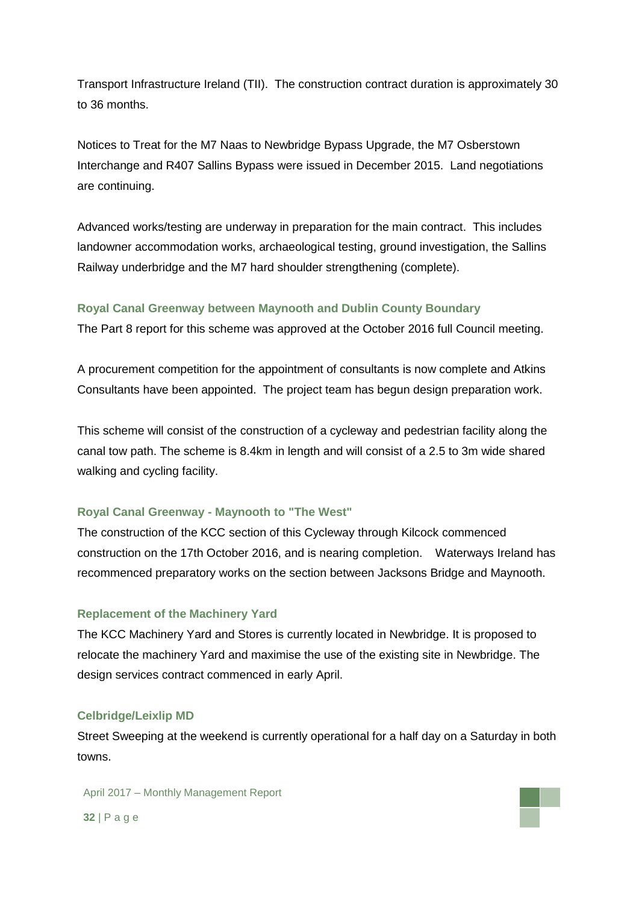Transport Infrastructure Ireland (TII). The construction contract duration is approximately 30 to 36 months.

Notices to Treat for the M7 Naas to Newbridge Bypass Upgrade, the M7 Osberstown Interchange and R407 Sallins Bypass were issued in December 2015. Land negotiations are continuing.

Advanced works/testing are underway in preparation for the main contract. This includes landowner accommodation works, archaeological testing, ground investigation, the Sallins Railway underbridge and the M7 hard shoulder strengthening (complete).

### **Royal Canal Greenway between Maynooth and Dublin County Boundary**

The Part 8 report for this scheme was approved at the October 2016 full Council meeting.

A procurement competition for the appointment of consultants is now complete and Atkins Consultants have been appointed. The project team has begun design preparation work.

This scheme will consist of the construction of a cycleway and pedestrian facility along the canal tow path. The scheme is 8.4km in length and will consist of a 2.5 to 3m wide shared walking and cycling facility.

### **Royal Canal Greenway - Maynooth to "The West"**

The construction of the KCC section of this Cycleway through Kilcock commenced construction on the 17th October 2016, and is nearing completion. Waterways Ireland has recommenced preparatory works on the section between Jacksons Bridge and Maynooth.

### **Replacement of the Machinery Yard**

The KCC Machinery Yard and Stores is currently located in Newbridge. It is proposed to relocate the machinery Yard and maximise the use of the existing site in Newbridge. The design services contract commenced in early April.

### **Celbridge/Leixlip MD**

Street Sweeping at the weekend is currently operational for a half day on a Saturday in both towns.

April 2017 – Monthly Management Report **32** | P a g e

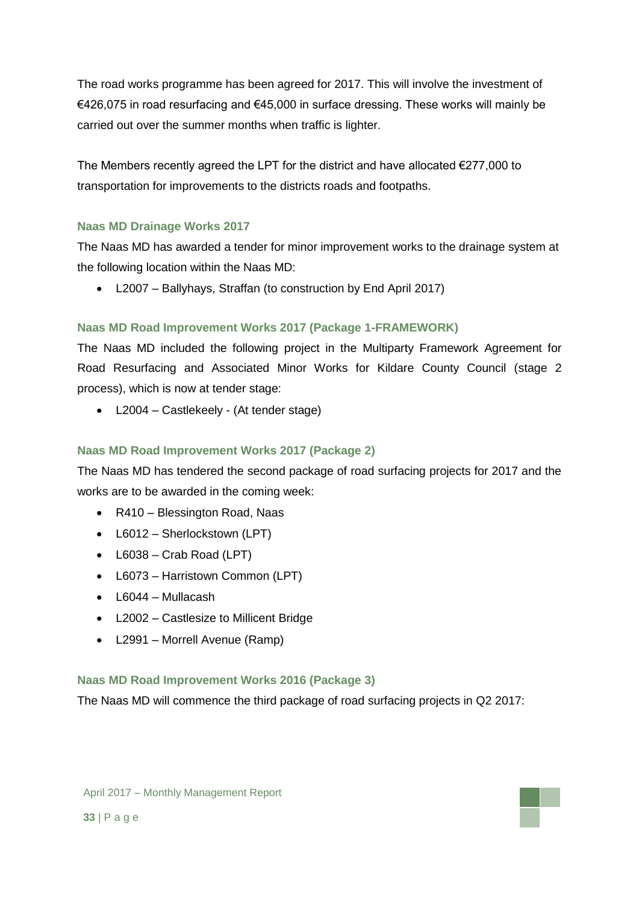The road works programme has been agreed for 2017. This will involve the investment of €426,075 in road resurfacing and €45,000 in surface dressing. These works will mainly be carried out over the summer months when traffic is lighter.

The Members recently agreed the LPT for the district and have allocated  $E$ 277,000 to transportation for improvements to the districts roads and footpaths.

## **Naas MD Drainage Works 2017**

The Naas MD has awarded a tender for minor improvement works to the drainage system at the following location within the Naas MD:

L2007 – Ballyhays, Straffan (to construction by End April 2017)

## **Naas MD Road Improvement Works 2017 (Package 1-FRAMEWORK)**

The Naas MD included the following project in the Multiparty Framework Agreement for Road Resurfacing and Associated Minor Works for Kildare County Council (stage 2 process), which is now at tender stage:

• L2004 – Castlekeely - (At tender stage)

## **Naas MD Road Improvement Works 2017 (Package 2)**

The Naas MD has tendered the second package of road surfacing projects for 2017 and the works are to be awarded in the coming week:

- R410 Blessington Road, Naas
- L6012 Sherlockstown (LPT)
- $\bullet$  L6038 Crab Road (LPT)
- L6073 Harristown Common (LPT)
- $\bullet$  L6044 Mullacash
- L2002 Castlesize to Millicent Bridge
- L2991 Morrell Avenue (Ramp)

## **Naas MD Road Improvement Works 2016 (Package 3)**

The Naas MD will commence the third package of road surfacing projects in Q2 2017: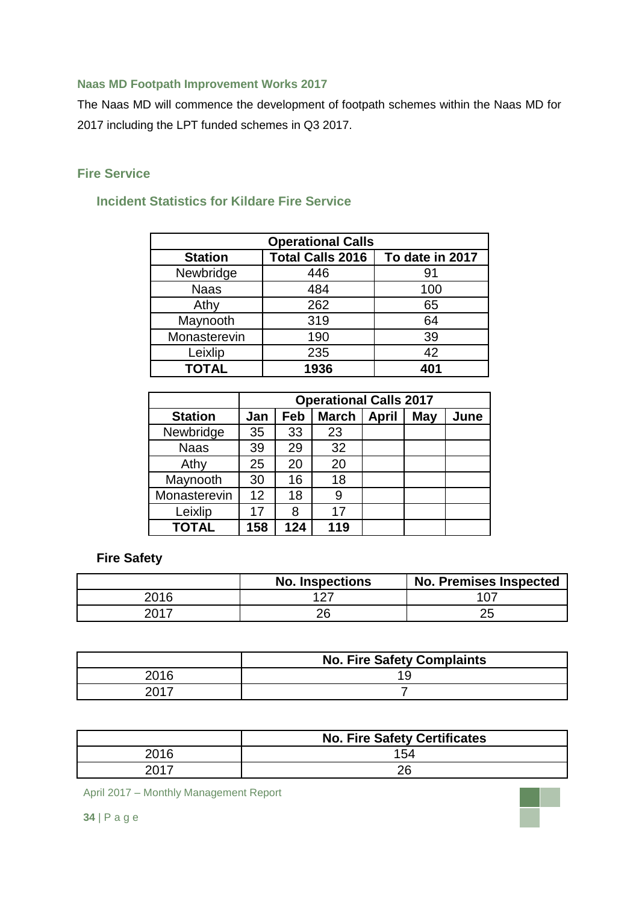# **Naas MD Footpath Improvement Works 2017**

The Naas MD will commence the development of footpath schemes within the Naas MD for 2017 including the LPT funded schemes in Q3 2017.

# **Fire Service**

# **Incident Statistics for Kildare Fire Service**

| <b>Operational Calls</b> |                         |                 |  |  |
|--------------------------|-------------------------|-----------------|--|--|
| <b>Station</b>           | <b>Total Calls 2016</b> | To date in 2017 |  |  |
| Newbridge                | 446                     | 91              |  |  |
| <b>Naas</b>              | 484                     | 100             |  |  |
| Athy                     | 262                     | 65              |  |  |
| Maynooth                 | 319                     | 64              |  |  |
| Monasterevin             | 190                     | 39              |  |  |
| Leixlip                  | 235                     | 42              |  |  |
| <b>TOTAL</b>             | 1936                    | 401             |  |  |

|                |     | <b>Operational Calls 2017</b> |              |              |            |      |
|----------------|-----|-------------------------------|--------------|--------------|------------|------|
| <b>Station</b> | Jan | Feb                           | <b>March</b> | <b>April</b> | <b>May</b> | June |
| Newbridge      | 35  | 33                            | 23           |              |            |      |
| <b>Naas</b>    | 39  | 29                            | 32           |              |            |      |
| Athy           | 25  | 20                            | 20           |              |            |      |
| Maynooth       | 30  | 16                            | 18           |              |            |      |
| Monasterevin   | 12  | 18                            | 9            |              |            |      |
| Leixlip        | 17  | 8                             | 17           |              |            |      |
| <b>TOTAL</b>   | 158 | 124                           | 119          |              |            |      |

# **Fire Safety**

|      | <b>No. Inspections</b> | <b>No. Premises Inspected</b> |
|------|------------------------|-------------------------------|
| 2016 | 107                    |                               |
| 2017 | ገድ                     |                               |

|      | <b>No. Fire Safety Complaints</b> |
|------|-----------------------------------|
| 2016 |                                   |
| nn17 |                                   |

|      | <b>No. Fire Safety Certificates</b> |
|------|-------------------------------------|
| 2016 | 154                                 |
| 2017 | ገፎ                                  |